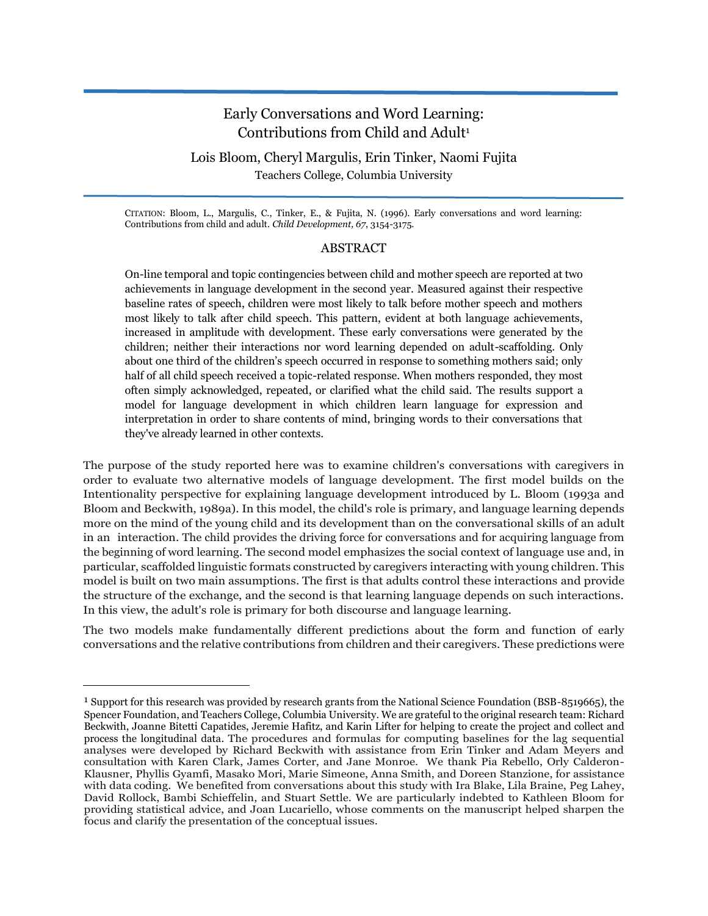# Early Conversations and Word Learning: Contributions from Child and Adult<sup>1</sup>

Lois Bloom, Cheryl Margulis, Erin Tinker, Naomi Fujita Teachers College, Columbia University

CITATION: Bloom, L., Margulis, C., Tinker, E., & Fujita, N. (1996). Early conversations and word learning: Contributions from child and adult. *Child Development, 67*, 3154-3175.

# ABSTRACT

On-line temporal and topic contingencies between child and mother speech are reported at two achievements in language development in the second year. Measured against their respective baseline rates of speech, children were most likely to talk before mother speech and mothers most likely to talk after child speech. This pattern, evident at both language achievements, increased in amplitude with development. These early conversations were generated by the children; neither their interactions nor word learning depended on adult-scaffolding. Only about one third of the children's speech occurred in response to something mothers said; only half of all child speech received a topic-related response. When mothers responded, they most often simply acknowledged, repeated, or clarified what the child said. The results support a model for language development in which children learn language for expression and interpretation in order to share contents of mind, bringing words to their conversations that they've already learned in other contexts.

The purpose of the study reported here was to examine children's conversations with caregivers in order to evaluate two alternative models of language development. The first model builds on the Intentionality perspective for explaining language development introduced by L. Bloom (1993a and Bloom and Beckwith, 1989a). In this model, the child's role is primary, and language learning depends more on the mind of the young child and its development than on the conversational skills of an adult in an interaction. The child provides the driving force for conversations and for acquiring language from the beginning of word learning. The second model emphasizes the social context of language use and, in particular, scaffolded linguistic formats constructed by caregivers interacting with young children. This model is built on two main assumptions. The first is that adults control these interactions and provide the structure of the exchange, and the second is that learning language depends on such interactions. In this view, the adult's role is primary for both discourse and language learning.

The two models make fundamentally different predictions about the form and function of early conversations and the relative contributions from children and their caregivers. These predictions were

 $\overline{a}$ 

<sup>1</sup> Support for this research was provided by research grants from the National Science Foundation (BSB-8519665), the Spencer Foundation, and Teachers College, Columbia University. We are grateful to the original research team: Richard Beckwith, Joanne Bitetti Capatides, Jeremie Hafitz, and Karin Lifter for helping to create the project and collect and process the longitudinal data. The procedures and formulas for computing baselines for the lag sequential analyses were developed by Richard Beckwith with assistance from Erin Tinker and Adam Meyers and consultation with Karen Clark, James Corter, and Jane Monroe. We thank Pia Rebello, Orly Calderon-Klausner, Phyllis Gyamfi, Masako Mori, Marie Simeone, Anna Smith, and Doreen Stanzione, for assistance with data coding. We benefited from conversations about this study with Ira Blake, Lila Braine, Peg Lahey, David Rollock, Bambi Schieffelin, and Stuart Settle. We are particularly indebted to Kathleen Bloom for providing statistical advice, and Joan Lucariello, whose comments on the manuscript helped sharpen the focus and clarify the presentation of the conceptual issues.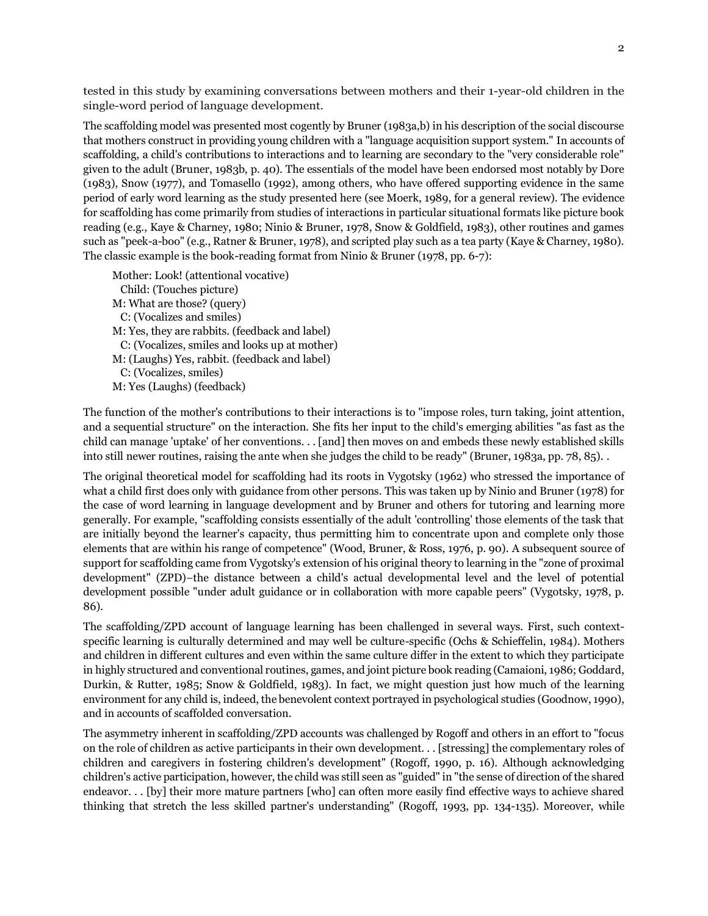tested in this study by examining conversations between mothers and their 1-year-old children in the single-word period of language development.

The scaffolding model was presented most cogently by Bruner (1983a,b) in his description of the social discourse that mothers construct in providing young children with a "language acquisition support system." In accounts of scaffolding, a child's contributions to interactions and to learning are secondary to the "very considerable role" given to the adult (Bruner, 1983b, p. 40). The essentials of the model have been endorsed most notably by Dore (1983), Snow (1977), and Tomasello (1992), among others, who have offered supporting evidence in the same period of early word learning as the study presented here (see Moerk, 1989, for a general review). The evidence for scaffolding has come primarily from studies of interactions in particular situational formats like picture book reading (e.g., Kaye & Charney, 1980; Ninio & Bruner, 1978, Snow & Goldfield, 1983), other routines and games such as "peek-a-boo" (e.g., Ratner & Bruner, 1978), and scripted play such as a tea party (Kaye & Charney, 1980). The classic example is the book-reading format from Ninio & Bruner (1978, pp. 6-7):

Mother: Look! (attentional vocative) Child: (Touches picture) M: What are those? (query) C: (Vocalizes and smiles) M: Yes, they are rabbits. (feedback and label) C: (Vocalizes, smiles and looks up at mother) M: (Laughs) Yes, rabbit. (feedback and label) C: (Vocalizes, smiles) M: Yes (Laughs) (feedback)

The function of the mother's contributions to their interactions is to "impose roles, turn taking, joint attention, and a sequential structure" on the interaction. She fits her input to the child's emerging abilities "as fast as the child can manage 'uptake' of her conventions. . . [and] then moves on and embeds these newly established skills into still newer routines, raising the ante when she judges the child to be ready" (Bruner, 1983a, pp. 78, 85). .

The original theoretical model for scaffolding had its roots in Vygotsky (1962) who stressed the importance of what a child first does only with guidance from other persons. This was taken up by Ninio and Bruner (1978) for the case of word learning in language development and by Bruner and others for tutoring and learning more generally. For example, "scaffolding consists essentially of the adult 'controlling' those elements of the task that are initially beyond the learner's capacity, thus permitting him to concentrate upon and complete only those elements that are within his range of competence" (Wood, Bruner, & Ross, 1976, p. 90). A subsequent source of support for scaffolding came from Vygotsky's extension of his original theory to learning in the "zone of proximal development" (ZPD)−the distance between a child's actual developmental level and the level of potential development possible "under adult guidance or in collaboration with more capable peers" (Vygotsky, 1978, p. 86).

The scaffolding/ZPD account of language learning has been challenged in several ways. First, such contextspecific learning is culturally determined and may well be culture-specific (Ochs & Schieffelin, 1984). Mothers and children in different cultures and even within the same culture differ in the extent to which they participate in highly structured and conventional routines, games, and joint picture book reading (Camaioni, 1986; Goddard, Durkin, & Rutter, 1985; Snow & Goldfield, 1983). In fact, we might question just how much of the learning environment for any child is, indeed, the benevolent context portrayed in psychological studies (Goodnow, 1990), and in accounts of scaffolded conversation.

The asymmetry inherent in scaffolding/ZPD accounts was challenged by Rogoff and others in an effort to "focus on the role of children as active participants in their own development. . . [stressing] the complementary roles of children and caregivers in fostering children's development" (Rogoff, 1990, p. 16). Although acknowledging children's active participation, however, the child was still seen as "guided" in "the sense of direction of the shared endeavor. . . [by] their more mature partners [who] can often more easily find effective ways to achieve shared thinking that stretch the less skilled partner's understanding" (Rogoff, 1993, pp. 134-135). Moreover, while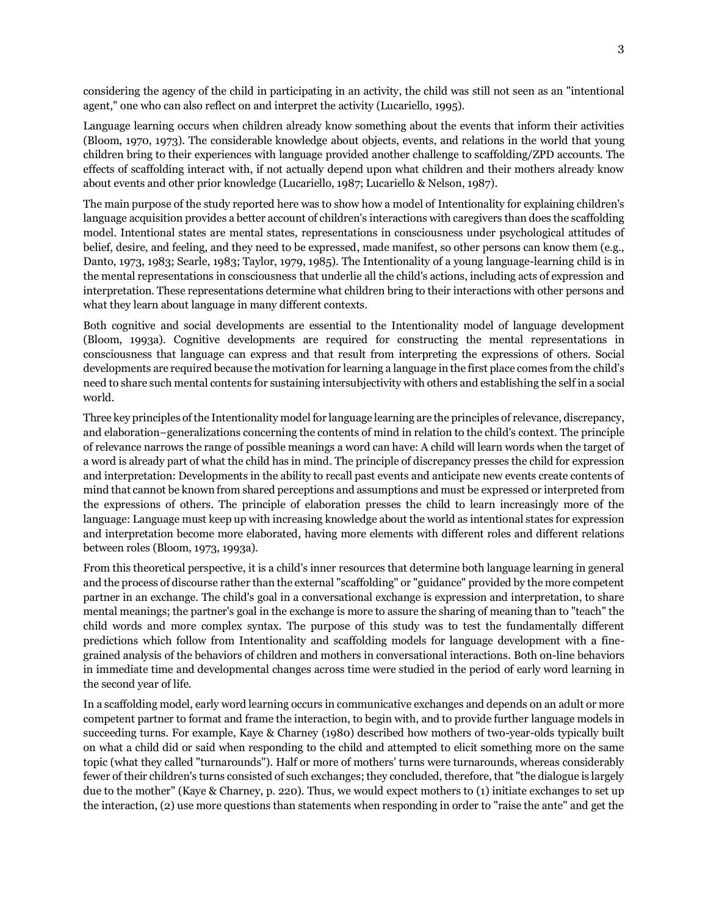considering the agency of the child in participating in an activity, the child was still not seen as an "intentional agent," one who can also reflect on and interpret the activity (Lucariello, 1995).

Language learning occurs when children already know something about the events that inform their activities (Bloom, 1970, 1973). The considerable knowledge about objects, events, and relations in the world that young children bring to their experiences with language provided another challenge to scaffolding/ZPD accounts. The effects of scaffolding interact with, if not actually depend upon what children and their mothers already know about events and other prior knowledge (Lucariello, 1987; Lucariello & Nelson, 1987).

The main purpose of the study reported here was to show how a model of Intentionality for explaining children's language acquisition provides a better account of children's interactions with caregivers than does the scaffolding model. Intentional states are mental states, representations in consciousness under psychological attitudes of belief, desire, and feeling, and they need to be expressed, made manifest, so other persons can know them (e.g., Danto, 1973, 1983; Searle, 1983; Taylor, 1979, 1985). The Intentionality of a young language-learning child is in the mental representations in consciousness that underlie all the child's actions, including acts of expression and interpretation. These representations determine what children bring to their interactions with other persons and what they learn about language in many different contexts.

Both cognitive and social developments are essential to the Intentionality model of language development (Bloom, 1993a). Cognitive developments are required for constructing the mental representations in consciousness that language can express and that result from interpreting the expressions of others. Social developments are required because the motivation for learning a language in the first place comes from the child's need to share such mental contents for sustaining intersubjectivity with others and establishing the self in a social world.

Three key principles of the Intentionality model for language learning are the principles of relevance, discrepancy, and elaboration−generalizations concerning the contents of mind in relation to the child's context. The principle of relevance narrows the range of possible meanings a word can have: A child will learn words when the target of a word is already part of what the child has in mind. The principle of discrepancy presses the child for expression and interpretation: Developments in the ability to recall past events and anticipate new events create contents of mind that cannot be known from shared perceptions and assumptions and must be expressed or interpreted from the expressions of others. The principle of elaboration presses the child to learn increasingly more of the language: Language must keep up with increasing knowledge about the world as intentional states for expression and interpretation become more elaborated, having more elements with different roles and different relations between roles (Bloom, 1973, 1993a).

From this theoretical perspective, it is a child's inner resources that determine both language learning in general and the process of discourse rather than the external "scaffolding" or "guidance" provided by the more competent partner in an exchange. The child's goal in a conversational exchange is expression and interpretation, to share mental meanings; the partner's goal in the exchange is more to assure the sharing of meaning than to "teach" the child words and more complex syntax. The purpose of this study was to test the fundamentally different predictions which follow from Intentionality and scaffolding models for language development with a finegrained analysis of the behaviors of children and mothers in conversational interactions. Both on-line behaviors in immediate time and developmental changes across time were studied in the period of early word learning in the second year of life.

In a scaffolding model, early word learning occurs in communicative exchanges and depends on an adult or more competent partner to format and frame the interaction, to begin with, and to provide further language models in succeeding turns. For example, Kaye & Charney (1980) described how mothers of two-year-olds typically built on what a child did or said when responding to the child and attempted to elicit something more on the same topic (what they called "turnarounds"). Half or more of mothers' turns were turnarounds, whereas considerably fewer of their children's turns consisted of such exchanges; they concluded, therefore, that "the dialogue is largely due to the mother" (Kaye & Charney, p. 220). Thus, we would expect mothers to (1) initiate exchanges to set up the interaction, (2) use more questions than statements when responding in order to "raise the ante" and get the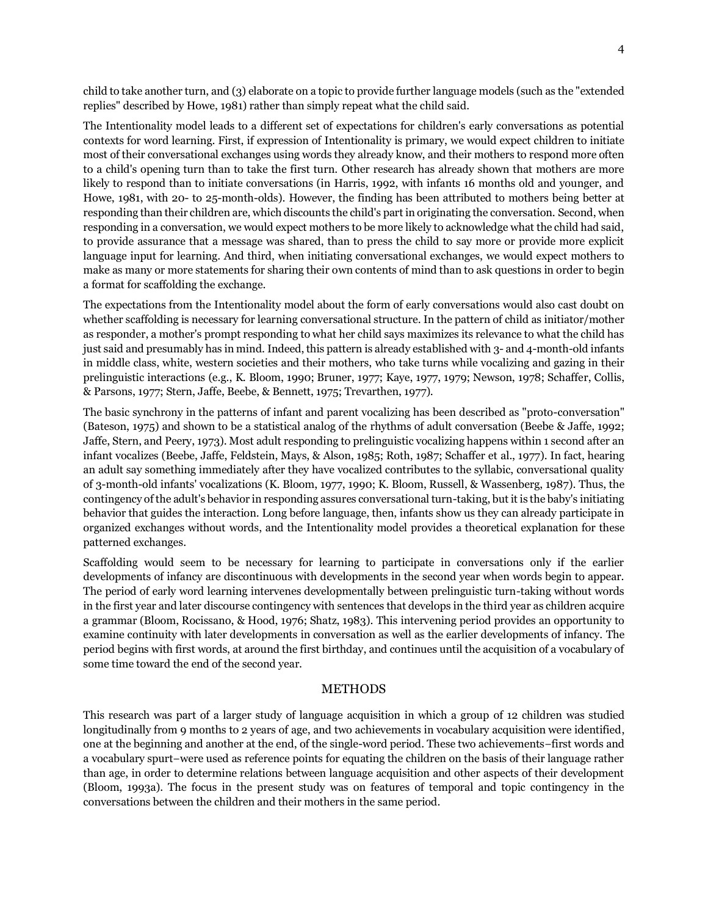child to take another turn, and (3) elaborate on a topic to provide further language models (such as the "extended replies" described by Howe, 1981) rather than simply repeat what the child said.

The Intentionality model leads to a different set of expectations for children's early conversations as potential contexts for word learning. First, if expression of Intentionality is primary, we would expect children to initiate most of their conversational exchanges using words they already know, and their mothers to respond more often to a child's opening turn than to take the first turn. Other research has already shown that mothers are more likely to respond than to initiate conversations (in Harris, 1992, with infants 16 months old and younger, and Howe, 1981, with 20- to 25-month-olds). However, the finding has been attributed to mothers being better at responding than their children are, which discounts the child's part in originating the conversation. Second, when responding in a conversation, we would expect mothers to be more likely to acknowledge what the child had said, to provide assurance that a message was shared, than to press the child to say more or provide more explicit language input for learning. And third, when initiating conversational exchanges, we would expect mothers to make as many or more statements for sharing their own contents of mind than to ask questions in order to begin a format for scaffolding the exchange.

The expectations from the Intentionality model about the form of early conversations would also cast doubt on whether scaffolding is necessary for learning conversational structure. In the pattern of child as initiator/mother as responder, a mother's prompt responding to what her child says maximizes its relevance to what the child has just said and presumably has in mind. Indeed, this pattern is already established with 3- and 4-month-old infants in middle class, white, western societies and their mothers, who take turns while vocalizing and gazing in their prelinguistic interactions (e.g., K. Bloom, 1990; Bruner, 1977; Kaye, 1977, 1979; Newson, 1978; Schaffer, Collis, & Parsons, 1977; Stern, Jaffe, Beebe, & Bennett, 1975; Trevarthen, 1977).

The basic synchrony in the patterns of infant and parent vocalizing has been described as "proto-conversation" (Bateson, 1975) and shown to be a statistical analog of the rhythms of adult conversation (Beebe & Jaffe, 1992; Jaffe, Stern, and Peery, 1973). Most adult responding to prelinguistic vocalizing happens within 1 second after an infant vocalizes (Beebe, Jaffe, Feldstein, Mays, & Alson, 1985; Roth, 1987; Schaffer et al., 1977). In fact, hearing an adult say something immediately after they have vocalized contributes to the syllabic, conversational quality of 3-month-old infants' vocalizations (K. Bloom, 1977, 1990; K. Bloom, Russell, & Wassenberg, 1987). Thus, the contingency of the adult's behavior in responding assures conversational turn-taking, but it is the baby's initiating behavior that guides the interaction. Long before language, then, infants show us they can already participate in organized exchanges without words, and the Intentionality model provides a theoretical explanation for these patterned exchanges.

Scaffolding would seem to be necessary for learning to participate in conversations only if the earlier developments of infancy are discontinuous with developments in the second year when words begin to appear. The period of early word learning intervenes developmentally between prelinguistic turn-taking without words in the first year and later discourse contingency with sentences that develops in the third year as children acquire a grammar (Bloom, Rocissano, & Hood, 1976; Shatz, 1983). This intervening period provides an opportunity to examine continuity with later developments in conversation as well as the earlier developments of infancy. The period begins with first words, at around the first birthday, and continues until the acquisition of a vocabulary of some time toward the end of the second year.

### METHODS

This research was part of a larger study of language acquisition in which a group of 12 children was studied longitudinally from 9 months to 2 years of age, and two achievements in vocabulary acquisition were identified, one at the beginning and another at the end, of the single-word period. These two achievements−first words and a vocabulary spurt−were used as reference points for equating the children on the basis of their language rather than age, in order to determine relations between language acquisition and other aspects of their development (Bloom, 1993a). The focus in the present study was on features of temporal and topic contingency in the conversations between the children and their mothers in the same period.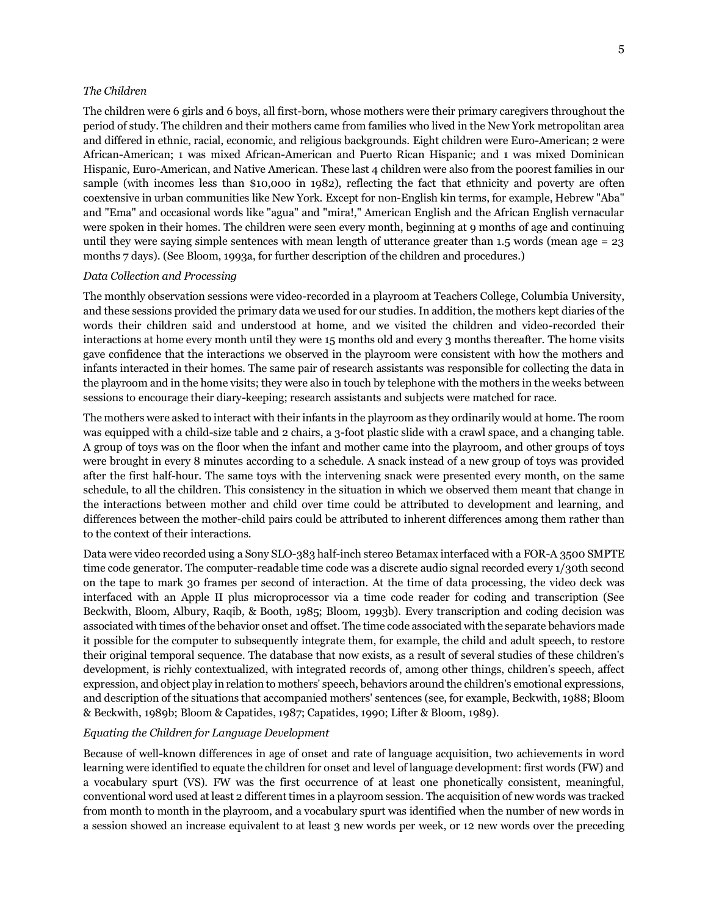# *The Children*

The children were 6 girls and 6 boys, all first-born, whose mothers were their primary caregivers throughout the period of study. The children and their mothers came from families who lived in the New York metropolitan area and differed in ethnic, racial, economic, and religious backgrounds. Eight children were Euro-American; 2 were African-American; 1 was mixed African-American and Puerto Rican Hispanic; and 1 was mixed Dominican Hispanic, Euro-American, and Native American. These last 4 children were also from the poorest families in our sample (with incomes less than \$10,000 in 1982), reflecting the fact that ethnicity and poverty are often coextensive in urban communities like New York. Except for non-English kin terms, for example, Hebrew "Aba" and "Ema" and occasional words like "agua" and "mira!," American English and the African English vernacular were spoken in their homes. The children were seen every month, beginning at 9 months of age and continuing until they were saying simple sentences with mean length of utterance greater than 1.5 words (mean age = 23 months 7 days). (See Bloom, 1993a, for further description of the children and procedures.)

#### *Data Collection and Processing*

The monthly observation sessions were video-recorded in a playroom at Teachers College, Columbia University, and these sessions provided the primary data we used for our studies. In addition, the mothers kept diaries of the words their children said and understood at home, and we visited the children and video-recorded their interactions at home every month until they were 15 months old and every 3 months thereafter. The home visits gave confidence that the interactions we observed in the playroom were consistent with how the mothers and infants interacted in their homes. The same pair of research assistants was responsible for collecting the data in the playroom and in the home visits; they were also in touch by telephone with the mothers in the weeks between sessions to encourage their diary-keeping; research assistants and subjects were matched for race.

The mothers were asked to interact with their infants in the playroom as they ordinarily would at home. The room was equipped with a child-size table and 2 chairs, a 3-foot plastic slide with a crawl space, and a changing table. A group of toys was on the floor when the infant and mother came into the playroom, and other groups of toys were brought in every 8 minutes according to a schedule. A snack instead of a new group of toys was provided after the first half-hour. The same toys with the intervening snack were presented every month, on the same schedule, to all the children. This consistency in the situation in which we observed them meant that change in the interactions between mother and child over time could be attributed to development and learning, and differences between the mother-child pairs could be attributed to inherent differences among them rather than to the context of their interactions.

Data were video recorded using a Sony SLO-383 half-inch stereo Betamax interfaced with a FOR-A 3500 SMPTE time code generator. The computer-readable time code was a discrete audio signal recorded every 1/30th second on the tape to mark 30 frames per second of interaction. At the time of data processing, the video deck was interfaced with an Apple II plus microprocessor via a time code reader for coding and transcription (See Beckwith, Bloom, Albury, Raqib, & Booth, 1985; Bloom, 1993b). Every transcription and coding decision was associated with times of the behavior onset and offset. The time code associated with the separate behaviors made it possible for the computer to subsequently integrate them, for example, the child and adult speech, to restore their original temporal sequence. The database that now exists, as a result of several studies of these children's development, is richly contextualized, with integrated records of, among other things, children's speech, affect expression, and object play in relation to mothers' speech, behaviors around the children's emotional expressions, and description of the situations that accompanied mothers' sentences (see, for example, Beckwith, 1988; Bloom & Beckwith, 1989b; Bloom & Capatides, 1987; Capatides, 1990; Lifter & Bloom, 1989).

#### *Equating the Children for Language Development*

Because of well-known differences in age of onset and rate of language acquisition, two achievements in word learning were identified to equate the children for onset and level of language development: first words (FW) and a vocabulary spurt (VS). FW was the first occurrence of at least one phonetically consistent, meaningful, conventional word used at least 2 different times in a playroom session. The acquisition of new words was tracked from month to month in the playroom, and a vocabulary spurt was identified when the number of new words in a session showed an increase equivalent to at least 3 new words per week, or 12 new words over the preceding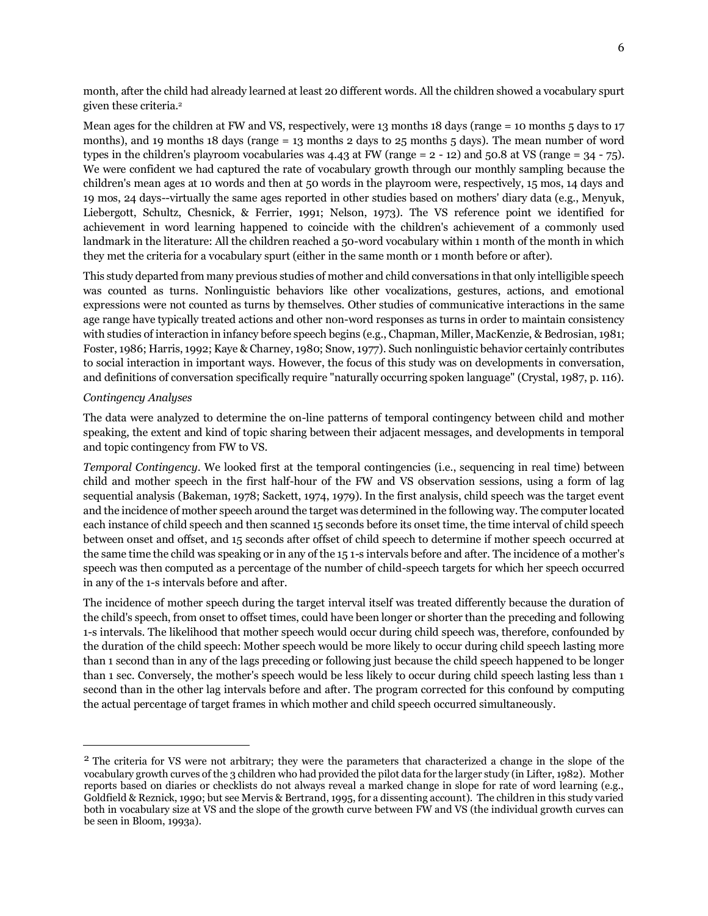month, after the child had already learned at least 20 different words. All the children showed a vocabulary spurt given these criteria.<sup>2</sup>

Mean ages for the children at FW and VS, respectively, were 13 months 18 days (range = 10 months 5 days to 17 months), and 19 months 18 days (range = 13 months 2 days to 25 months 5 days). The mean number of word types in the children's playroom vocabularies was 4.43 at FW (range = 2 - 12) and 50.8 at VS (range = 34 - 75). We were confident we had captured the rate of vocabulary growth through our monthly sampling because the children's mean ages at 10 words and then at 50 words in the playroom were, respectively, 15 mos, 14 days and 19 mos, 24 days--virtually the same ages reported in other studies based on mothers' diary data (e.g., Menyuk, Liebergott, Schultz, Chesnick, & Ferrier, 1991; Nelson, 1973). The VS reference point we identified for achievement in word learning happened to coincide with the children's achievement of a commonly used landmark in the literature: All the children reached a 50-word vocabulary within 1 month of the month in which they met the criteria for a vocabulary spurt (either in the same month or 1 month before or after).

This study departed from many previous studies of mother and child conversations in that only intelligible speech was counted as turns. Nonlinguistic behaviors like other vocalizations, gestures, actions, and emotional expressions were not counted as turns by themselves. Other studies of communicative interactions in the same age range have typically treated actions and other non-word responses as turns in order to maintain consistency with studies of interaction in infancy before speech begins (e.g., Chapman, Miller, MacKenzie, & Bedrosian, 1981; Foster, 1986; Harris, 1992; Kaye & Charney, 1980; Snow, 1977). Such nonlinguistic behavior certainly contributes to social interaction in important ways. However, the focus of this study was on developments in conversation, and definitions of conversation specifically require "naturally occurring spoken language" (Crystal, 1987, p. 116).

# *Contingency Analyses*

 $\overline{a}$ 

The data were analyzed to determine the on-line patterns of temporal contingency between child and mother speaking, the extent and kind of topic sharing between their adjacent messages, and developments in temporal and topic contingency from FW to VS.

*Temporal Contingency*. We looked first at the temporal contingencies (i.e., sequencing in real time) between child and mother speech in the first half-hour of the FW and VS observation sessions, using a form of lag sequential analysis (Bakeman, 1978; Sackett, 1974, 1979). In the first analysis, child speech was the target event and the incidence of mother speech around the target was determined in the following way. The computer located each instance of child speech and then scanned 15 seconds before its onset time, the time interval of child speech between onset and offset, and 15 seconds after offset of child speech to determine if mother speech occurred at the same time the child was speaking or in any of the 15 1-s intervals before and after. The incidence of a mother's speech was then computed as a percentage of the number of child-speech targets for which her speech occurred in any of the 1-s intervals before and after.

The incidence of mother speech during the target interval itself was treated differently because the duration of the child's speech, from onset to offset times, could have been longer or shorter than the preceding and following 1-s intervals. The likelihood that mother speech would occur during child speech was, therefore, confounded by the duration of the child speech: Mother speech would be more likely to occur during child speech lasting more than 1 second than in any of the lags preceding or following just because the child speech happened to be longer than 1 sec. Conversely, the mother's speech would be less likely to occur during child speech lasting less than 1 second than in the other lag intervals before and after. The program corrected for this confound by computing the actual percentage of target frames in which mother and child speech occurred simultaneously.

<sup>2</sup> The criteria for VS were not arbitrary; they were the parameters that characterized a change in the slope of the vocabulary growth curves of the 3 children who had provided the pilot data for the larger study (in Lifter, 1982). Mother reports based on diaries or checklists do not always reveal a marked change in slope for rate of word learning (e.g., Goldfield & Reznick, 1990; but see Mervis & Bertrand, 1995, for a dissenting account). The children in this study varied both in vocabulary size at VS and the slope of the growth curve between FW and VS (the individual growth curves can be seen in Bloom, 1993a).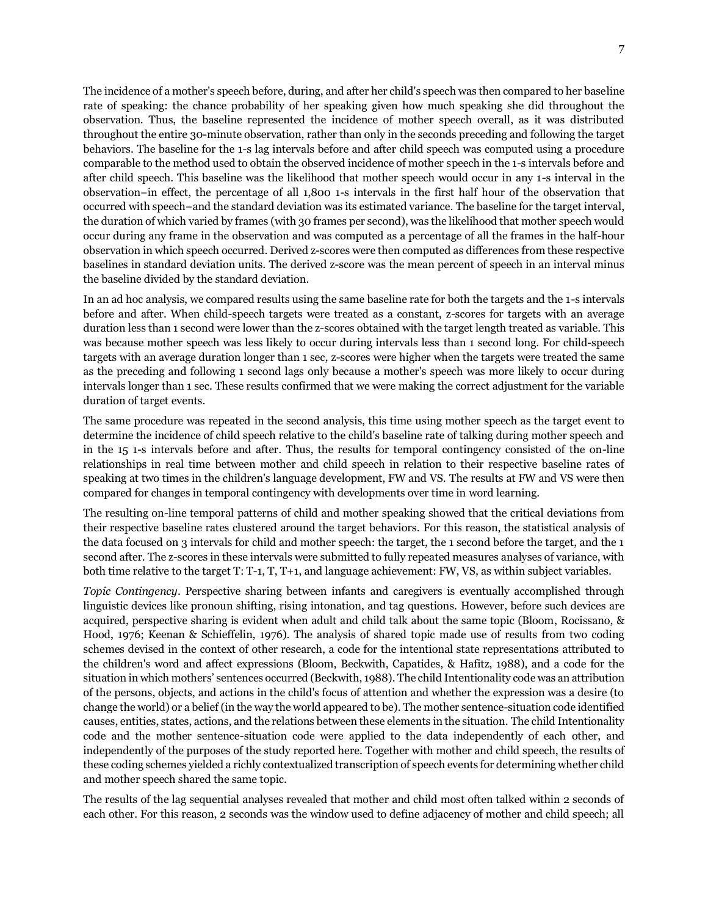The incidence of a mother's speech before, during, and after her child's speech was then compared to her baseline rate of speaking: the chance probability of her speaking given how much speaking she did throughout the observation. Thus, the baseline represented the incidence of mother speech overall, as it was distributed throughout the entire 30-minute observation, rather than only in the seconds preceding and following the target behaviors. The baseline for the 1-s lag intervals before and after child speech was computed using a procedure comparable to the method used to obtain the observed incidence of mother speech in the 1-s intervals before and after child speech. This baseline was the likelihood that mother speech would occur in any 1-s interval in the observation−in effect, the percentage of all 1,800 1-s intervals in the first half hour of the observation that occurred with speech−and the standard deviation was its estimated variance. The baseline for the target interval, the duration of which varied by frames (with 30 frames per second), was the likelihood that mother speech would occur during any frame in the observation and was computed as a percentage of all the frames in the half-hour observation in which speech occurred. Derived z-scores were then computed as differences from these respective baselines in standard deviation units. The derived z-score was the mean percent of speech in an interval minus the baseline divided by the standard deviation.

In an ad hoc analysis, we compared results using the same baseline rate for both the targets and the 1-s intervals before and after. When child-speech targets were treated as a constant, z-scores for targets with an average duration less than 1 second were lower than the z-scores obtained with the target length treated as variable. This was because mother speech was less likely to occur during intervals less than 1 second long. For child-speech targets with an average duration longer than 1 sec, z-scores were higher when the targets were treated the same as the preceding and following 1 second lags only because a mother's speech was more likely to occur during intervals longer than 1 sec. These results confirmed that we were making the correct adjustment for the variable duration of target events.

The same procedure was repeated in the second analysis, this time using mother speech as the target event to determine the incidence of child speech relative to the child's baseline rate of talking during mother speech and in the 15 1-s intervals before and after. Thus, the results for temporal contingency consisted of the on-line relationships in real time between mother and child speech in relation to their respective baseline rates of speaking at two times in the children's language development, FW and VS. The results at FW and VS were then compared for changes in temporal contingency with developments over time in word learning.

The resulting on-line temporal patterns of child and mother speaking showed that the critical deviations from their respective baseline rates clustered around the target behaviors. For this reason, the statistical analysis of the data focused on 3 intervals for child and mother speech: the target, the 1 second before the target, and the 1 second after. The z-scores in these intervals were submitted to fully repeated measures analyses of variance, with both time relative to the target T: T-1, T, T+1, and language achievement: FW, VS, as within subject variables.

*Topic Contingency*. Perspective sharing between infants and caregivers is eventually accomplished through linguistic devices like pronoun shifting, rising intonation, and tag questions. However, before such devices are acquired, perspective sharing is evident when adult and child talk about the same topic (Bloom, Rocissano, & Hood, 1976; Keenan & Schieffelin, 1976). The analysis of shared topic made use of results from two coding schemes devised in the context of other research, a code for the intentional state representations attributed to the children's word and affect expressions (Bloom, Beckwith, Capatides, & Hafitz, 1988), and a code for the situation in which mothers' sentences occurred (Beckwith, 1988). The child Intentionality code was an attribution of the persons, objects, and actions in the child's focus of attention and whether the expression was a desire (to change the world) or a belief (in the way the world appeared to be). The mother sentence-situation code identified causes, entities, states, actions, and the relations between these elements in the situation. The child Intentionality code and the mother sentence-situation code were applied to the data independently of each other, and independently of the purposes of the study reported here. Together with mother and child speech, the results of these coding schemes yielded a richly contextualized transcription of speech events for determining whether child and mother speech shared the same topic.

The results of the lag sequential analyses revealed that mother and child most often talked within 2 seconds of each other. For this reason, 2 seconds was the window used to define adjacency of mother and child speech; all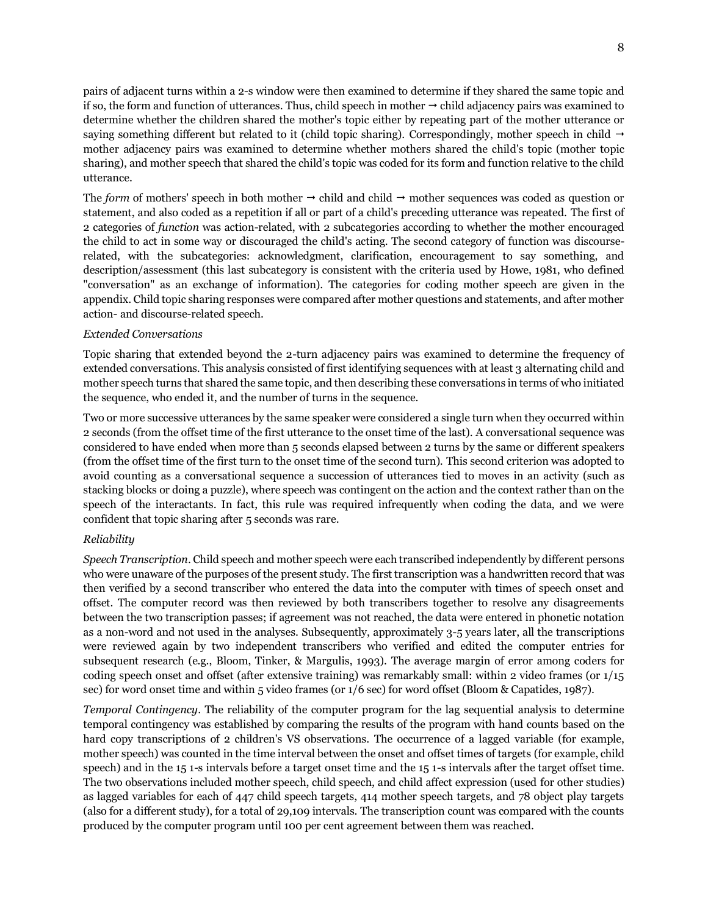pairs of adjacent turns within a 2-s window were then examined to determine if they shared the same topic and if so, the form and function of utterances. Thus, child speech in mother  $\rightarrow$  child adjacency pairs was examined to determine whether the children shared the mother's topic either by repeating part of the mother utterance or saying something different but related to it (child topic sharing). Correspondingly, mother speech in child  $\rightarrow$ mother adjacency pairs was examined to determine whether mothers shared the child's topic (mother topic sharing), and mother speech that shared the child's topic was coded for its form and function relative to the child utterance.

The *form* of mothers' speech in both mother  $\rightarrow$  child and child  $\rightarrow$  mother sequences was coded as question or statement, and also coded as a repetition if all or part of a child's preceding utterance was repeated. The first of 2 categories of *function* was action-related, with 2 subcategories according to whether the mother encouraged the child to act in some way or discouraged the child's acting. The second category of function was discourserelated, with the subcategories: acknowledgment, clarification, encouragement to say something, and description/assessment (this last subcategory is consistent with the criteria used by Howe, 1981, who defined "conversation" as an exchange of information). The categories for coding mother speech are given in the appendix. Child topic sharing responses were compared after mother questions and statements, and after mother action- and discourse-related speech.

# *Extended Conversations*

Topic sharing that extended beyond the 2-turn adjacency pairs was examined to determine the frequency of extended conversations. This analysis consisted of first identifying sequences with at least 3 alternating child and mother speech turns that shared the same topic, and then describing these conversations in terms of who initiated the sequence, who ended it, and the number of turns in the sequence.

Two or more successive utterances by the same speaker were considered a single turn when they occurred within 2 seconds (from the offset time of the first utterance to the onset time of the last). A conversational sequence was considered to have ended when more than 5 seconds elapsed between 2 turns by the same or different speakers (from the offset time of the first turn to the onset time of the second turn). This second criterion was adopted to avoid counting as a conversational sequence a succession of utterances tied to moves in an activity (such as stacking blocks or doing a puzzle), where speech was contingent on the action and the context rather than on the speech of the interactants. In fact, this rule was required infrequently when coding the data, and we were confident that topic sharing after 5 seconds was rare.

# *Reliability*

*Speech Transcription*. Child speech and mother speech were each transcribed independently by different persons who were unaware of the purposes of the present study. The first transcription was a handwritten record that was then verified by a second transcriber who entered the data into the computer with times of speech onset and offset. The computer record was then reviewed by both transcribers together to resolve any disagreements between the two transcription passes; if agreement was not reached, the data were entered in phonetic notation as a non-word and not used in the analyses. Subsequently, approximately 3-5 years later, all the transcriptions were reviewed again by two independent transcribers who verified and edited the computer entries for subsequent research (e.g., Bloom, Tinker, & Margulis, 1993). The average margin of error among coders for coding speech onset and offset (after extensive training) was remarkably small: within 2 video frames (or 1/15 sec) for word onset time and within 5 video frames (or 1/6 sec) for word offset (Bloom & Capatides, 1987).

*Temporal Contingency*. The reliability of the computer program for the lag sequential analysis to determine temporal contingency was established by comparing the results of the program with hand counts based on the hard copy transcriptions of 2 children's VS observations. The occurrence of a lagged variable (for example, mother speech) was counted in the time interval between the onset and offset times of targets (for example, child speech) and in the 15 1-s intervals before a target onset time and the 15 1-s intervals after the target offset time. The two observations included mother speech, child speech, and child affect expression (used for other studies) as lagged variables for each of 447 child speech targets, 414 mother speech targets, and 78 object play targets (also for a different study), for a total of 29,109 intervals. The transcription count was compared with the counts produced by the computer program until 100 per cent agreement between them was reached.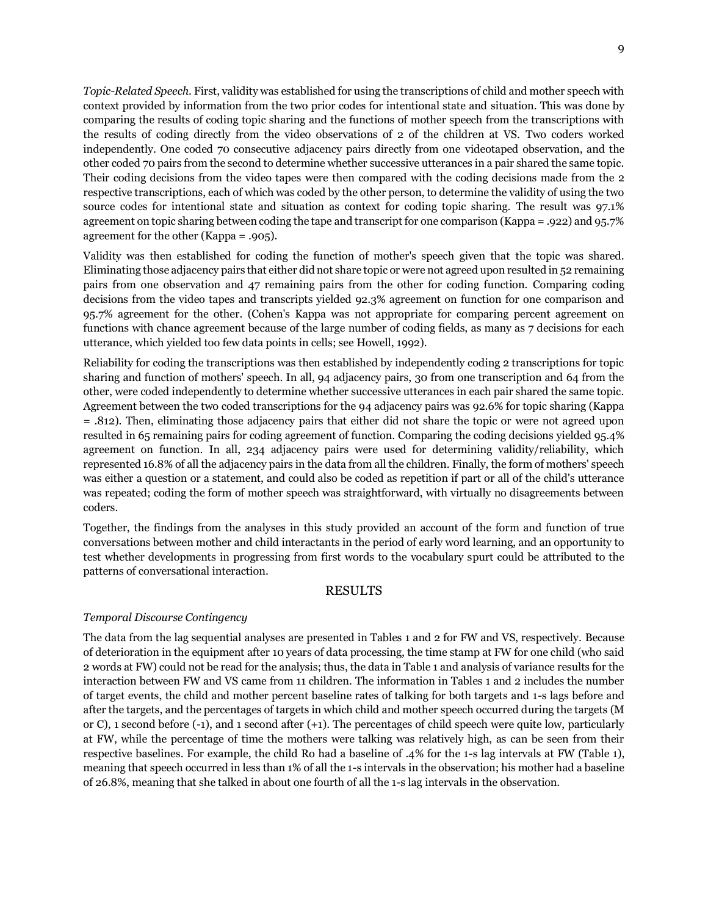*Topic-Related Speech*. First, validity was established for using the transcriptions of child and mother speech with context provided by information from the two prior codes for intentional state and situation. This was done by comparing the results of coding topic sharing and the functions of mother speech from the transcriptions with the results of coding directly from the video observations of 2 of the children at VS. Two coders worked independently. One coded 70 consecutive adjacency pairs directly from one videotaped observation, and the other coded 70 pairs from the second to determine whether successive utterances in a pair shared the same topic. Their coding decisions from the video tapes were then compared with the coding decisions made from the 2 respective transcriptions, each of which was coded by the other person, to determine the validity of using the two source codes for intentional state and situation as context for coding topic sharing. The result was 97.1% agreement on topic sharing between coding the tape and transcript for one comparison (Kappa = .922) and 95.7% agreement for the other (Kappa = .905).

Validity was then established for coding the function of mother's speech given that the topic was shared. Eliminating those adjacency pairs that either did not share topic or were not agreed upon resulted in 52 remaining pairs from one observation and 47 remaining pairs from the other for coding function. Comparing coding decisions from the video tapes and transcripts yielded 92.3% agreement on function for one comparison and 95.7% agreement for the other. (Cohen's Kappa was not appropriate for comparing percent agreement on functions with chance agreement because of the large number of coding fields, as many as 7 decisions for each utterance, which yielded too few data points in cells; see Howell, 1992).

Reliability for coding the transcriptions was then established by independently coding 2 transcriptions for topic sharing and function of mothers' speech. In all, 94 adjacency pairs, 30 from one transcription and 64 from the other, were coded independently to determine whether successive utterances in each pair shared the same topic. Agreement between the two coded transcriptions for the 94 adjacency pairs was 92.6% for topic sharing (Kappa = .812). Then, eliminating those adjacency pairs that either did not share the topic or were not agreed upon resulted in 65 remaining pairs for coding agreement of function. Comparing the coding decisions yielded 95.4% agreement on function. In all, 234 adjacency pairs were used for determining validity/reliability, which represented 16.8% of all the adjacency pairs in the data from all the children. Finally, the form of mothers' speech was either a question or a statement, and could also be coded as repetition if part or all of the child's utterance was repeated; coding the form of mother speech was straightforward, with virtually no disagreements between coders.

Together, the findings from the analyses in this study provided an account of the form and function of true conversations between mother and child interactants in the period of early word learning, and an opportunity to test whether developments in progressing from first words to the vocabulary spurt could be attributed to the patterns of conversational interaction.

# RESULTS

# *Temporal Discourse Contingency*

The data from the lag sequential analyses are presented in Tables 1 and 2 for FW and VS, respectively. Because of deterioration in the equipment after 10 years of data processing, the time stamp at FW for one child (who said 2 words at FW) could not be read for the analysis; thus, the data in Table 1 and analysis of variance results for the interaction between FW and VS came from 11 children. The information in Tables 1 and 2 includes the number of target events, the child and mother percent baseline rates of talking for both targets and 1-s lags before and after the targets, and the percentages of targets in which child and mother speech occurred during the targets (M or C), 1 second before (-1), and 1 second after (+1). The percentages of child speech were quite low, particularly at FW, while the percentage of time the mothers were talking was relatively high, as can be seen from their respective baselines. For example, the child Ro had a baseline of .4% for the 1-s lag intervals at FW (Table 1), meaning that speech occurred in less than 1% of all the 1-s intervals in the observation; his mother had a baseline of 26.8%, meaning that she talked in about one fourth of all the 1-s lag intervals in the observation.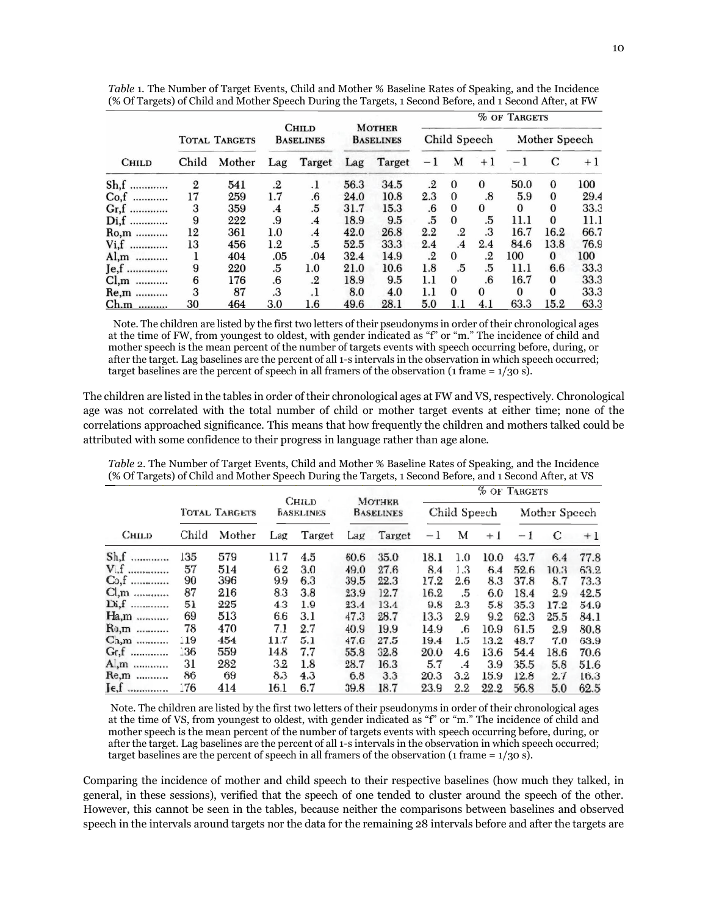| <b>CHILD</b>      |                      |        |                                  |                 |                                   |               | <b>% OF TARGETS</b>        |              |              |               |              |      |  |
|-------------------|----------------------|--------|----------------------------------|-----------------|-----------------------------------|---------------|----------------------------|--------------|--------------|---------------|--------------|------|--|
|                   | <b>TOTAL TARGETS</b> |        | <b>CHILD</b><br><b>BASELINES</b> |                 | <b>MOTHER</b><br><b>BASELINES</b> |               | Child Speech               |              |              | Mother Speech |              |      |  |
|                   | Child                | Mother | Lag                              | <b>Target</b>   | Lag                               | <b>Target</b> | -1                         | M            | $+1$         | $^{-1}$       | C            | $+1$ |  |
| $\mathbf{Sh}$ , f | 2                    | 541    | .2                               | $\cdot$         | 56.3                              | 34.5          | .2                         | $\theta$     | $\theta$     | 50.0          | $\Omega$     | 100  |  |
| Co.f<br>          | 17                   | 259    | 1.7                              | .6              | 24.0                              | 10.8          | 2.3                        | $\theta$     | .8           | 5.9           | $\mathbf{0}$ | 29.4 |  |
| $Gr, f$           | 3                    | 359    | $\cdot$                          | .5              | 31.7                              | 15.3          | 6.6                        | $\bf{0}$     | $\mathbf{0}$ | $\bf{0}$      | $\mathbf{0}$ | 33.3 |  |
| $\mathbf{D}$ i,f  | 9                    | 222    | .9                               | $\cdot$ 4       | 18.9                              | 9.5           | .5                         | $\mathbf{0}$ | .5           | 11.1          | $\bf{0}$     | 11.1 |  |
| $Ro, m$           | 12                   | 361    | 1.0                              | $\cdot$ 4       | 42.0                              | 26.8          | 2.2                        | $\cdot$ 2    | .3           | 16.7          | 16.2         | 66.7 |  |
| Vi.f<br>          | 13                   | 456    | 1.2                              | $.5\phantom{0}$ | 52.5                              | 33.3          | 2.4                        | $\cdot$ 4    | 2.4          | 84.6          | 13.8         | 76.9 |  |
| Al, $m$           |                      | 404    | .05                              | .04             | 32.4                              | 14.9          | $\cdot \cdot$ <sup>2</sup> | $\Omega$     | $\cdot$ 2    | 100           | $\mathbf{0}$ | 100  |  |
| $Je, f$           | 9                    | 220    | .5                               | $1.0\,$         | 21.0                              | 10.6          | 1.8                        | $.5\,$       | $.5\,$       | 11.1          | 6.6          | 33.3 |  |
| $Cl,m$            | 6                    | 176    | .6                               | .2              | 18.9                              | 9.5           | 1.1                        | $\theta$     | 6.6          | 16.7          | $\mathbf{0}$ | 33.3 |  |
| Re,m              | 3                    | 87     | .3                               | .1              | 8.0                               | 4.0           | 1.1                        | $\Omega$     | $\Omega$     | $\bf{0}$      | $\Omega$     | 33.3 |  |
| $Ch.m$            | 30                   | 464    | 3.0                              | 1.6             | 49.6                              | 28.1          | 5.0                        | 1.1          | 4.1          | 63.3          | 15.2         | 63.3 |  |

*Table* 1. The Number of Target Events, Child and Mother % Baseline Rates of Speaking, and the Incidence (% Of Targets) of Child and Mother Speech During the Targets, 1 Second Before, and 1 Second After, at FW

Note. The children are listed by the first two letters of their pseudonyms in order of their chronological ages at the time of FW, from youngest to oldest, with gender indicated as "f" or "m." The incidence of child and mother speech is the mean percent of the number of targets events with speech occurring before, during, or after the target. Lag baselines are the percent of all 1-s intervals in the observation in which speech occurred; target baselines are the percent of speech in all framers of the observation (1 frame  $= 1/30$  s).

The children are listed in the tables in order of their chronological ages at FW and VS, respectively. Chronological age was not correlated with the total number of child or mother target events at either time; none of the correlations approached significance. This means that how frequently the children and mothers talked could be attributed with some confidence to their progress in language rather than age alone.

|                                        |                      |        |                                  |         |                                   |        |              |           |      | <b>% OF TARGETS</b> |      |      |
|----------------------------------------|----------------------|--------|----------------------------------|---------|-----------------------------------|--------|--------------|-----------|------|---------------------|------|------|
| <b>CHILD</b>                           | <b>TOTAL TARGETS</b> |        | <b>CHILD</b><br><b>BASELINES</b> |         | <b>MOTHER</b><br><b>BASELINES</b> |        | Child Speech |           |      | Mother Speech       |      |      |
|                                        | Child                | Mother | Lag                              | Target  | Lag                               | Target | $-1$         | М         | $+1$ | $-1$                | C    | $+1$ |
| $\mathrm{Sh.f}$<br><b>110001100010</b> | 135                  | 579    | 11.7                             | 4.5     | 60.6                              | 35.0   | 18.1         | $1.0\,$   | 10.0 | 43.7                | 6.4  | 77.8 |
| V.f<br>                                | 57                   | 514    | 62                               | 3.0     | 49.0                              | 27.6   | 8.4          | 1.3       | 6.4  | 52.6                | 10.3 | 63.2 |
| Co,f                                   | 90                   | 396    | 99                               | 6.3     | 39.5                              | 22.3   | 17.2         | 2.6       | 8.3  | 37.8                | 8.7  | 73.3 |
| Cl,m                                   | 87                   | 216    | 83                               | 3.8     | 23.9                              | 12.7   | 16.2         | .5        | 6.0  | 18.4                | 2.9  | 42.5 |
| $\mathrm{Di},\mathrm{f}$               | 51                   | 225    | 43                               | 1.9     | 23.4                              | 13.4   | 9.8          | 2.3       | 5.8  | 35.3                | 17.2 | 54.9 |
| Ha,m                                   | 69                   | 513    | 6.6                              | 3.1     | 47.3                              | 28.7   | 13.3         | 2.9       | 9.2  | 62.3                | 25.5 | 84.1 |
| Ro.m                                   | 78                   | 470    | 7.1                              | 2.7     | 40.9                              | 19.9   | 14.9         | .6        | 10.9 | 61.5                | 2.9  | 80.8 |
| Ch,m                                   | 119                  | 454    | 117                              | 5.1     | 47.6                              | 27.5   | 19.4         | 1.5       | 13.2 | 48.7                | 7.0  | 63.9 |
| Gr,f                                   | 136                  | 559    | 14.8                             | 7.7     | 55.8                              | 32.8   | 20.0         | 4.6       | 13.6 | 54.4                | 18.6 | 70.6 |
| Al,m                                   | 31                   | 282    | 32                               | $1.8\,$ | 28.7                              | 16.3   | 5.7          | $\cdot$ 4 | 3.9  | 35.5                | 5.8  | 51.6 |
| Re,m                                   | 86                   | 69     | 83                               | 4.3     | 6.8                               | 3.3    | 20.3         | 3.2       | 15.9 | 12.8                | 2.7  | 16.3 |
| e.f                                    | 176                  | 414    | 16.1                             | 6.7     | 39.8                              | 18.7   | 23.9         | 2.2       | 22.2 | 56.8                | 5.0  | 62.5 |

*Table* 2. The Number of Target Events, Child and Mother % Baseline Rates of Speaking, and the Incidence (% Of Targets) of Child and Mother Speech During the Targets, 1 Second Before, and 1 Second After, at VS

Note. The children are listed by the first two letters of their pseudonyms in order of their chronological ages at the time of VS, from youngest to oldest, with gender indicated as "f" or "m." The incidence of child and mother speech is the mean percent of the number of targets events with speech occurring before, during, or after the target. Lag baselines are the percent of all 1-s intervals in the observation in which speech occurred; target baselines are the percent of speech in all framers of the observation (1 frame =  $1/30$  s).

Comparing the incidence of mother and child speech to their respective baselines (how much they talked, in general, in these sessions), verified that the speech of one tended to cluster around the speech of the other. However, this cannot be seen in the tables, because neither the comparisons between baselines and observed speech in the intervals around targets nor the data for the remaining 28 intervals before and after the targets are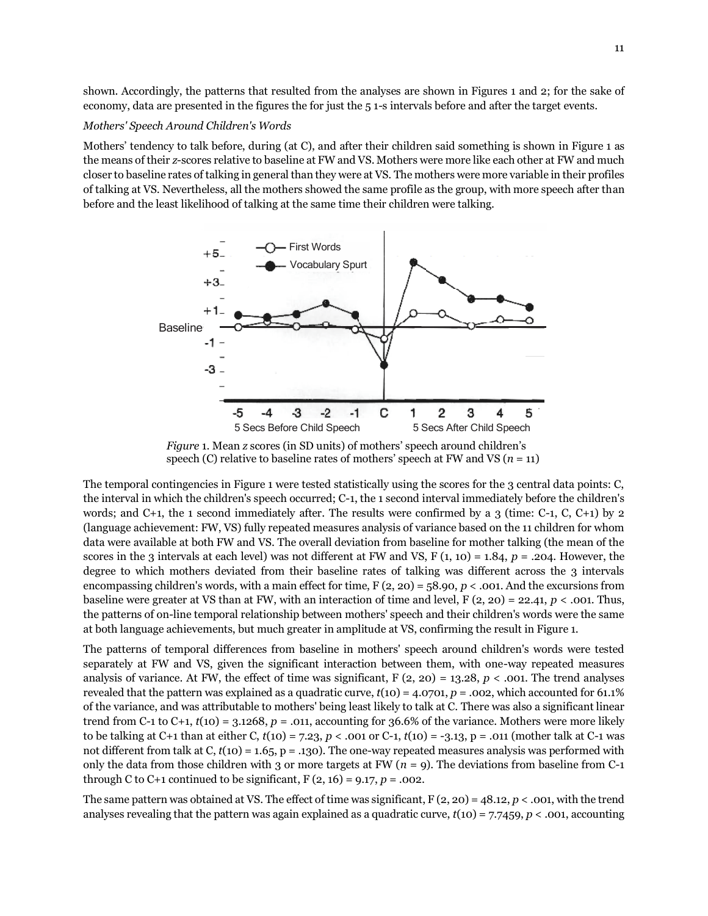shown. Accordingly, the patterns that resulted from the analyses are shown in Figures 1 and 2; for the sake of economy, data are presented in the figures the for just the 5 1-s intervals before and after the target events.

#### *Mothers' Speech Around Children's Words*

Mothers' tendency to talk before, during (at C), and after their children said something is shown in Figure 1 as the means of their *z*-scores relative to baseline at FW and VS. Mothers were more like each other at FW and much closer to baseline rates of talking in general than they were at VS. The mothers were more variable in their profiles of talking at VS. Nevertheless, all the mothers showed the same profile as the group, with more speech after than before and the least likelihood of talking at the same time their children were talking.



*Figure* 1. Mean *z* scores (in SD units) of mothers' speech around children's speech (C) relative to baseline rates of mothers' speech at FW and VS  $(n = 11)$ 

The temporal contingencies in Figure 1 were tested statistically using the scores for the 3 central data points: C, the interval in which the children's speech occurred; C-1, the 1 second interval immediately before the children's words; and C+1, the 1 second immediately after. The results were confirmed by a 3 (time: C-1, C, C+1) by 2 (language achievement: FW, VS) fully repeated measures analysis of variance based on the 11 children for whom data were available at both FW and VS. The overall deviation from baseline for mother talking (the mean of the scores in the 3 intervals at each level) was not different at FW and VS, F (1, 10) = 1.84, *p* = .204. However, the degree to which mothers deviated from their baseline rates of talking was different across the 3 intervals encompassing children's words, with a main effect for time, F (2, 20) = 58.90, *p* < .001. And the excursions from baseline were greater at VS than at FW, with an interaction of time and level, F (2, 20) = 22.41, *p* < .001. Thus, the patterns of on-line temporal relationship between mothers' speech and their children's words were the same at both language achievements, but much greater in amplitude at VS, confirming the result in Figure 1.

The patterns of temporal differences from baseline in mothers' speech around children's words were tested separately at FW and VS, given the significant interaction between them, with one-way repeated measures analysis of variance. At FW, the effect of time was significant, F (2, 20) = 13.28, *p* < .001. The trend analyses revealed that the pattern was explained as a quadratic curve, *t*(10) = 4.0701, *p* = .002, which accounted for 61.1% of the variance, and was attributable to mothers' being least likely to talk at C. There was also a significant linear trend from C-1 to C+1,  $t(10) = 3.1268$ ,  $p = .011$ , accounting for 36.6% of the variance. Mothers were more likely to be talking at C+1 than at either C, *t*(10) = 7.23, *p* < .001 or C-1, *t*(10) = -3.13, p = .011 (mother talk at C-1 was not different from talk at C, *t*(10) = 1.65, p = .130). The one-way repeated measures analysis was performed with only the data from those children with 3 or more targets at FW  $(n = 9)$ . The deviations from baseline from C-1 through C to C+1 continued to be significant,  $F(2, 16) = 9.17$ ,  $p = .002$ .

The same pattern was obtained at VS. The effect of time was significant, F (2, 20) = 48.12, *p* < .001, with the trend analyses revealing that the pattern was again explained as a quadratic curve,  $t(10) = 7.7459$ ,  $p < .001$ , accounting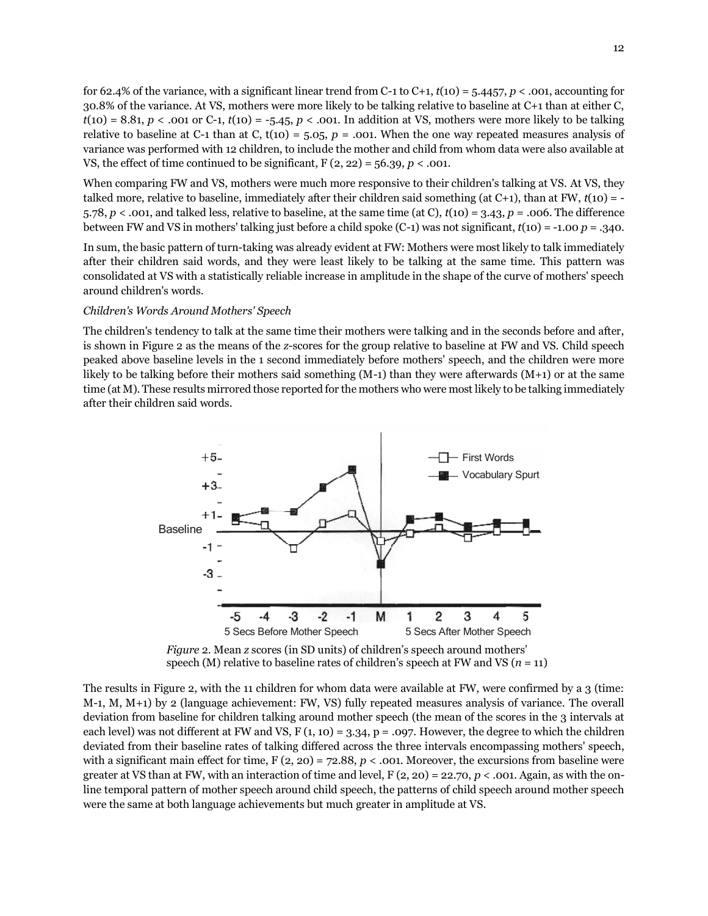for 62.4% of the variance, with a significant linear trend from C-1 to C+1,  $t(10) = 5.4457$ ,  $p < .001$ , accounting for 30.8% of the variance. At VS, mothers were more likely to be talking relative to baseline at C+1 than at either C,  $t(10) = 8.81, p < .001$  or C-1,  $t(10) = -5.45, p < .001$ . In addition at VS, mothers were more likely to be talking relative to baseline at C-1 than at C,  $t(10) = 5.05$ ,  $p = .001$ . When the one way repeated measures analysis of variance was performed with 12 children, to include the mother and child from whom data were also available at VS, the effect of time continued to be significant,  $F(2, 22) = 56.39, p < .001$ .

When comparing FW and VS, mothers were much more responsive to their children's talking at VS. At VS, they talked more, relative to baseline, immediately after their children said something (at C+1), than at FW, *t*(10) = - 5.78, *p* < .001, and talked less, relative to baseline, at the same time (at C), *t*(10) = 3.43, *p* = .006. The difference between FW and VS in mothers' talking just before a child spoke (C-1) was not significant, *t*(10) = -1.00 *p* = .340.

In sum, the basic pattern of turn-taking was already evident at FW: Mothers were most likely to talk immediately after their children said words, and they were least likely to be talking at the same time. This pattern was consolidated at VS with a statistically reliable increase in amplitude in the shape of the curve of mothers' speech around children's words.

#### *Children's Words Around Mothers' Speech*

The children's tendency to talk at the same time their mothers were talking and in the seconds before and after, is shown in Figure 2 as the means of the *z*-scores for the group relative to baseline at FW and VS. Child speech peaked above baseline levels in the 1 second immediately before mothers' speech, and the children were more likely to be talking before their mothers said something (M-1) than they were afterwards (M+1) or at the same time (at M). These results mirrored those reported for the mothers who were most likely to be talking immediately after their children said words.



*Figure* 2. Mean *z* scores (in SD units) of children's speech around mothers' speech (M) relative to baseline rates of children's speech at FW and VS ( $n = 11$ )

The results in Figure 2, with the 11 children for whom data were available at FW, were confirmed by a 3 (time: M-1, M, M+1) by 2 (language achievement: FW, VS) fully repeated measures analysis of variance. The overall deviation from baseline for children talking around mother speech (the mean of the scores in the 3 intervals at each level) was not different at FW and VS, F  $(1, 10) = 3.34$ , p = .097. However, the degree to which the children deviated from their baseline rates of talking differed across the three intervals encompassing mothers' speech, with a significant main effect for time,  $F(2, 20) = 72.88$ ,  $p < .001$ . Moreover, the excursions from baseline were greater at VS than at FW, with an interaction of time and level, F  $(2, 20) = 22.70$ ,  $p < .001$ . Again, as with the online temporal pattern of mother speech around child speech, the patterns of child speech around mother speech were the same at both language achievements but much greater in amplitude at VS.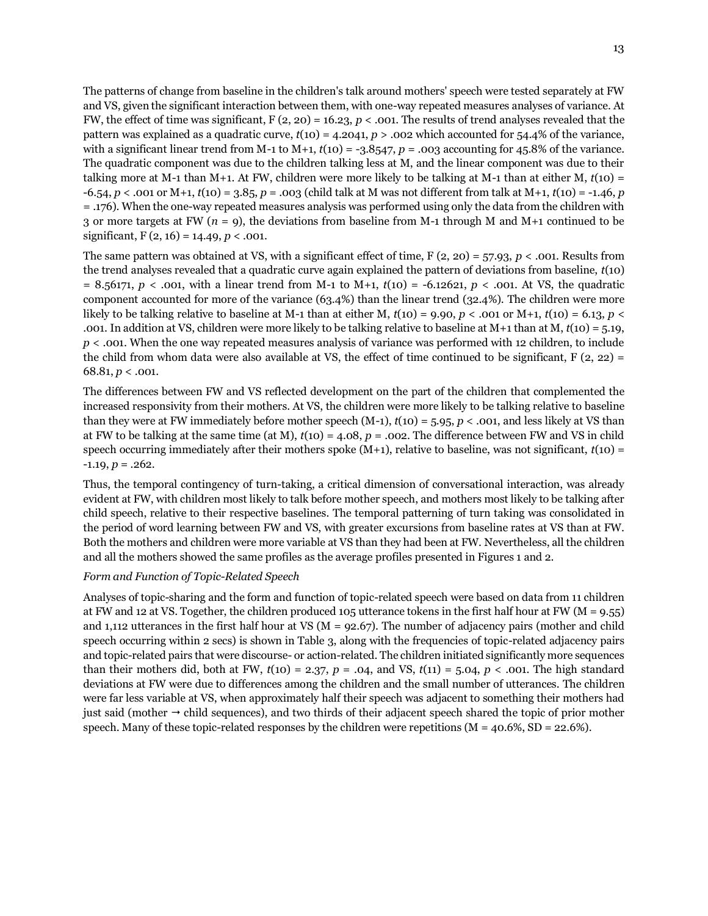The patterns of change from baseline in the children's talk around mothers' speech were tested separately at FW and VS, given the significant interaction between them, with one-way repeated measures analyses of variance. At FW, the effect of time was significant, F  $(2, 20) = 16.23$ ,  $p < .001$ . The results of trend analyses revealed that the pattern was explained as a quadratic curve,  $t(10) = 4.2041$ ,  $p > .002$  which accounted for 54.4% of the variance, with a significant linear trend from M-1 to M+1,  $t(10) = -3.8547$ ,  $p = .003$  accounting for 45.8% of the variance. The quadratic component was due to the children talking less at M, and the linear component was due to their talking more at M-1 than M+1. At FW, children were more likely to be talking at M-1 than at either M,  $t(10)$  = -6.54, *p* < .001 or M+1, *t*(10) = 3.85, *p* = .003 (child talk at M was not different from talk at M+1, *t*(10) = -1.46, *p* = .176). When the one-way repeated measures analysis was performed using only the data from the children with 3 or more targets at FW (*n* = 9), the deviations from baseline from M-1 through M and M+1 continued to be significant, F (2, 16) = 14.49, *p* < .001.

The same pattern was obtained at VS, with a significant effect of time, F (2, 20) = 57.93, *p* < .001. Results from the trend analyses revealed that a quadratic curve again explained the pattern of deviations from baseline, *t*(10) = 8.56171, *p* < .001, with a linear trend from M-1 to M+1, *t*(10) = -6.12621, *p* < .001. At VS, the quadratic component accounted for more of the variance (63.4%) than the linear trend (32.4%). The children were more likely to be talking relative to baseline at M-1 than at either M,  $t(10) = 9.90$ ,  $p < .001$  or M+1,  $t(10) = 6.13$ ,  $p <$ .001. In addition at VS, children were more likely to be talking relative to baseline at M+1 than at M, *t*(10) = 5.19, *p* < .001. When the one way repeated measures analysis of variance was performed with 12 children, to include the child from whom data were also available at VS, the effect of time continued to be significant,  $F(2, 22) =$  $68.81, p < .001.$ 

The differences between FW and VS reflected development on the part of the children that complemented the increased responsivity from their mothers. At VS, the children were more likely to be talking relative to baseline than they were at FW immediately before mother speech  $(M-1)$ ,  $t(10) = 5.95$ ,  $p < .001$ , and less likely at VS than at FW to be talking at the same time (at M),  $t(10) = 4.08$ ,  $p = .002$ . The difference between FW and VS in child speech occurring immediately after their mothers spoke  $(M+1)$ , relative to baseline, was not significant,  $t(10)$  =  $-1.19, p = .262.$ 

Thus, the temporal contingency of turn-taking, a critical dimension of conversational interaction, was already evident at FW, with children most likely to talk before mother speech, and mothers most likely to be talking after child speech, relative to their respective baselines. The temporal patterning of turn taking was consolidated in the period of word learning between FW and VS, with greater excursions from baseline rates at VS than at FW. Both the mothers and children were more variable at VS than they had been at FW. Nevertheless, all the children and all the mothers showed the same profiles as the average profiles presented in Figures 1 and 2.

# *Form and Function of Topic-Related Speech*

Analyses of topic-sharing and the form and function of topic-related speech were based on data from 11 children at FW and 12 at VS. Together, the children produced 105 utterance tokens in the first half hour at FW ( $M = 9.55$ ) and 1,112 utterances in the first half hour at VS ( $M = 92.67$ ). The number of adjacency pairs (mother and child speech occurring within 2 secs) is shown in Table 3, along with the frequencies of topic-related adjacency pairs and topic-related pairs that were discourse- or action-related. The children initiated significantly more sequences than their mothers did, both at FW,  $t(10) = 2.37$ ,  $p = .04$ , and VS,  $t(11) = 5.04$ ,  $p < .001$ . The high standard deviations at FW were due to differences among the children and the small number of utterances. The children were far less variable at VS, when approximately half their speech was adjacent to something their mothers had just said (mother  $\rightarrow$  child sequences), and two thirds of their adjacent speech shared the topic of prior mother speech. Many of these topic-related responses by the children were repetitions  $(M = 40.6\%, SD = 22.6\%)$ .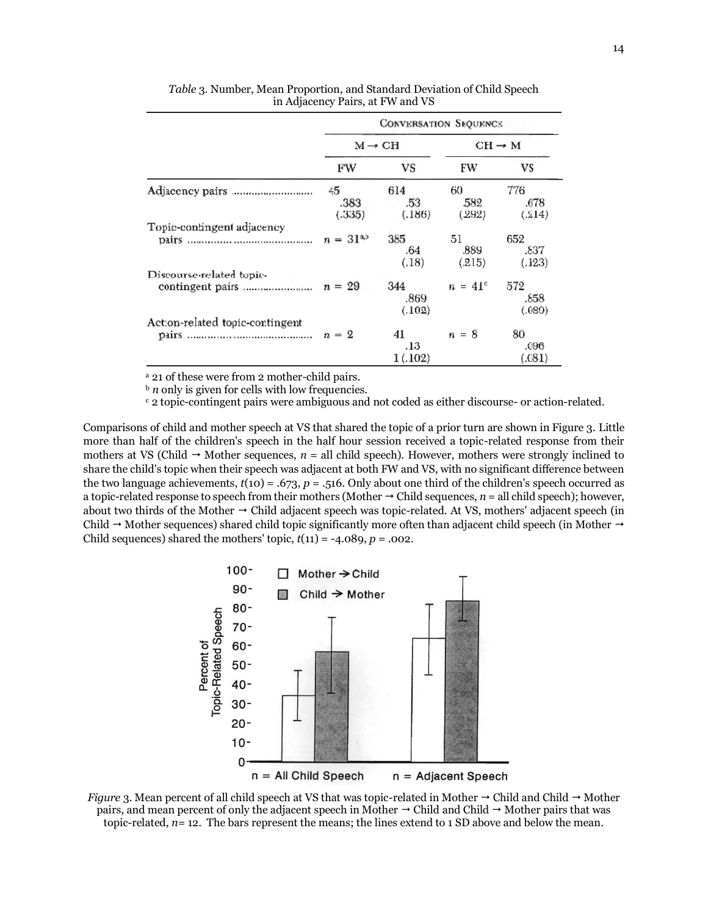|                                 | <b>CONVERSATION SEQUENCE</b> |              |                  |                    |  |  |  |  |
|---------------------------------|------------------------------|--------------|------------------|--------------------|--|--|--|--|
|                                 | $M \rightarrow CH$           |              |                  | $CH \rightarrow M$ |  |  |  |  |
|                                 | FW                           | VS           | FW               | VS                 |  |  |  |  |
|                                 | 45                           | 614          | 60               | 776                |  |  |  |  |
|                                 | .383                         | .53          | .582             | .678               |  |  |  |  |
|                                 | (.335)                       | (.186)       | (292)            | (.214)             |  |  |  |  |
| Topic-contingent adjacency      |                              |              |                  |                    |  |  |  |  |
|                                 | $n = 31^{a,b}$               | 385          | 51.              | 652                |  |  |  |  |
|                                 |                              | .64          | .889             | .837               |  |  |  |  |
|                                 |                              | (.18)        | (.215)           | (.123)             |  |  |  |  |
| Discourse-related topic-        |                              |              |                  |                    |  |  |  |  |
|                                 | $n = 29$                     | 344          | $n = 41^{\circ}$ | 572                |  |  |  |  |
|                                 |                              | .869         |                  | .858               |  |  |  |  |
|                                 |                              | (.102)       |                  | (.089)             |  |  |  |  |
| Action-related topic-contingent |                              |              |                  |                    |  |  |  |  |
|                                 | $n = 2$                      | 41           | $n = 8$          | 80                 |  |  |  |  |
|                                 |                              |              |                  |                    |  |  |  |  |
|                                 |                              | .13          |                  | .096               |  |  |  |  |
|                                 |                              | $1 \,(.102)$ |                  | (.081)             |  |  |  |  |

*Table* 3. Number, Mean Proportion, and Standard Deviation of Child Speech in Adjacency Pairs, at FW and VS

<sup>a</sup> 21 of these were from 2 mother-child pairs.

 $\frac{b}{n}$  only is given for cells with low frequencies.

<sup>c</sup> 2 topic-contingent pairs were ambiguous and not coded as either discourse- or action-related.

Comparisons of child and mother speech at VS that shared the topic of a prior turn are shown in Figure 3. Little more than half of the children's speech in the half hour session received a topic-related response from their mothers at VS (Child  $\rightarrow$  Mother sequences,  $n =$  all child speech). However, mothers were strongly inclined to share the child's topic when their speech was adjacent at both FW and VS, with no significant difference between the two language achievements,  $t(10) = .673$ ,  $p = .516$ . Only about one third of the children's speech occurred as a topic-related response to speech from their mothers (Mother  $\rightarrow$  Child sequences,  $n =$  all child speech); however, about two thirds of the Mother  $\rightarrow$  Child adjacent speech was topic-related. At VS, mothers' adjacent speech (in Child  $\rightarrow$  Mother sequences) shared child topic significantly more often than adjacent child speech (in Mother  $\rightarrow$ Child sequences) shared the mothers' topic,  $t(11) = -4.089$ ,  $p = .002$ .



*Figure* 3. Mean percent of all child speech at VS that was topic-related in Mother  $\rightarrow$  Child and Child  $\rightarrow$  Mother pairs, and mean percent of only the adjacent speech in Mother  $\rightarrow$  Child and Child  $\rightarrow$  Mother pairs that was topic-related,  $n=12$ . The bars represent the means; the lines extend to 1 SD above and below the mean.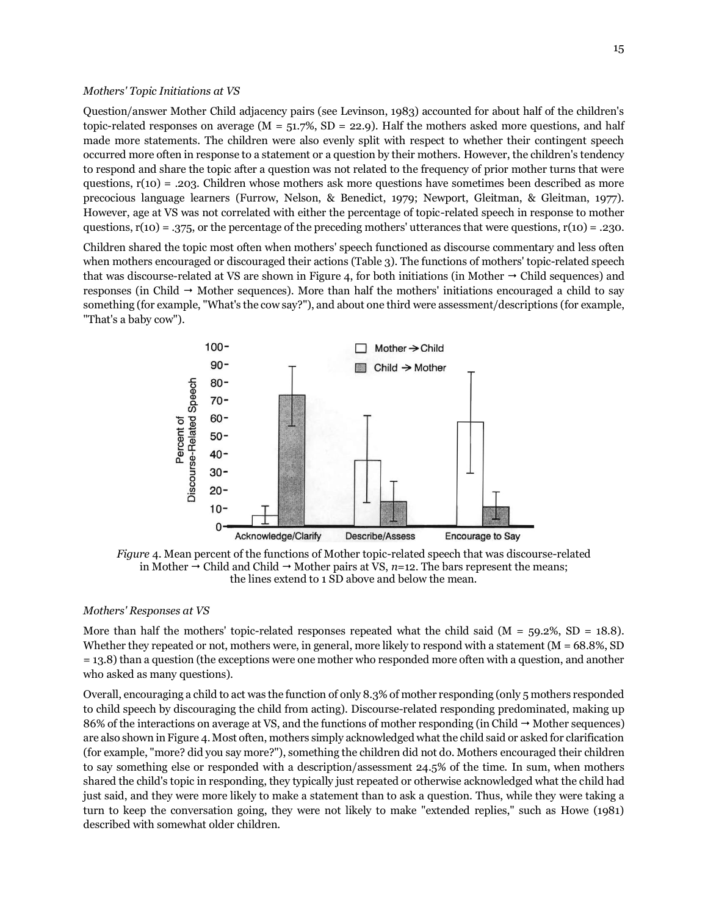#### *Mothers' Topic Initiations at VS*

Question/answer Mother Child adjacency pairs (see Levinson, 1983) accounted for about half of the children's topic-related responses on average ( $M = 51.7\%$ , SD = 22.9). Half the mothers asked more questions, and half made more statements. The children were also evenly split with respect to whether their contingent speech occurred more often in response to a statement or a question by their mothers. However, the children's tendency to respond and share the topic after a question was not related to the frequency of prior mother turns that were questions,  $r(10) = .203$ . Children whose mothers ask more questions have sometimes been described as more precocious language learners (Furrow, Nelson, & Benedict, 1979; Newport, Gleitman, & Gleitman, 1977). However, age at VS was not correlated with either the percentage of topic-related speech in response to mother questions,  $r(10) = .375$ , or the percentage of the preceding mothers' utterances that were questions,  $r(10) = .230$ .

Children shared the topic most often when mothers' speech functioned as discourse commentary and less often when mothers encouraged or discouraged their actions (Table 3). The functions of mothers' topic-related speech that was discourse-related at VS are shown in Figure 4, for both initiations (in Mother  $\rightarrow$  Child sequences) and responses (in Child  $\rightarrow$  Mother sequences). More than half the mothers' initiations encouraged a child to say something (for example, "What's the cow say?"), and about one third were assessment/descriptions (for example, "That's a baby cow").



*Figure* 4. Mean percent of the functions of Mother topic-related speech that was discourse-related in Mother  $\rightarrow$  Child and Child  $\rightarrow$  Mother pairs at VS, *n*=12. The bars represent the means; the lines extend to 1 SD above and below the mean.

#### *Mothers' Responses at VS*

More than half the mothers' topic-related responses repeated what the child said ( $M = 59.2\%$ , SD = 18.8). Whether they repeated or not, mothers were, in general, more likely to respond with a statement  $(M = 68.8\%, SD)$ = 13.8) than a question (the exceptions were one mother who responded more often with a question, and another who asked as many questions).

Overall, encouraging a child to act was the function of only 8.3% of mother responding (only 5 mothers responded to child speech by discouraging the child from acting). Discourse-related responding predominated, making up 86% of the interactions on average at VS, and the functions of mother responding (in Child  $\rightarrow$  Mother sequences) are also shown in Figure 4.Most often, mothers simply acknowledged what the child said or asked for clarification (for example, "more? did you say more?"), something the children did not do. Mothers encouraged their children to say something else or responded with a description/assessment 24.5% of the time. In sum, when mothers shared the child's topic in responding, they typically just repeated or otherwise acknowledged what the child had just said, and they were more likely to make a statement than to ask a question. Thus, while they were taking a turn to keep the conversation going, they were not likely to make "extended replies," such as Howe (1981) described with somewhat older children.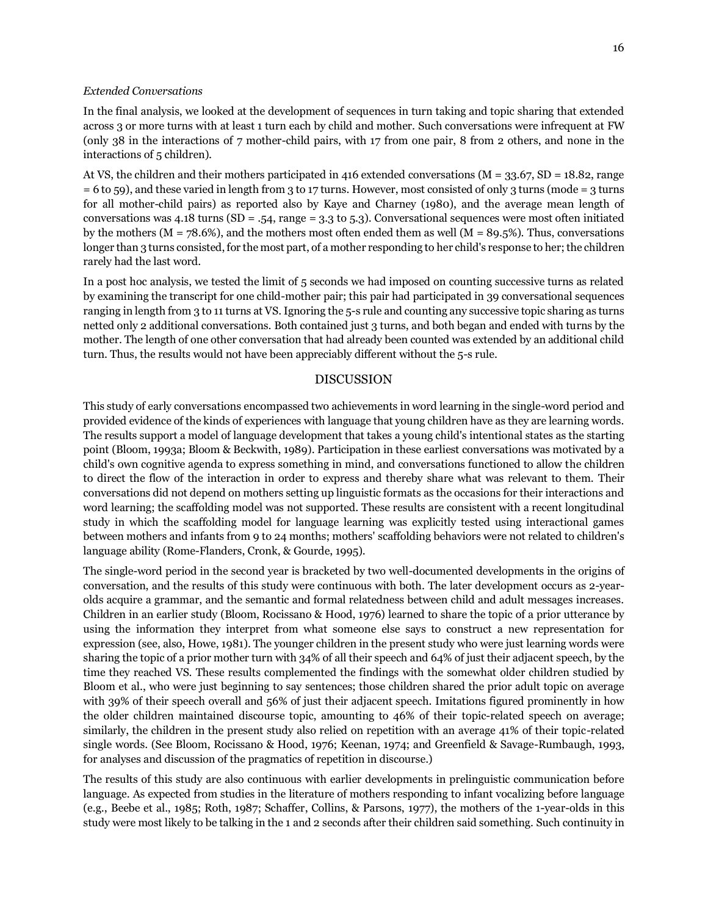#### *Extended Conversations*

In the final analysis, we looked at the development of sequences in turn taking and topic sharing that extended across 3 or more turns with at least 1 turn each by child and mother. Such conversations were infrequent at FW (only 38 in the interactions of 7 mother-child pairs, with 17 from one pair, 8 from 2 others, and none in the interactions of 5 children).

At VS, the children and their mothers participated in 416 extended conversations (M = 33.67, SD = 18.82, range = 6 to 59), and these varied in length from 3 to 17 turns. However, most consisted of only 3 turns (mode = 3 turns for all mother-child pairs) as reported also by Kaye and Charney (1980), and the average mean length of conversations was 4.18 turns (SD = .54, range = 3.3 to 5.3). Conversational sequences were most often initiated by the mothers ( $M = 78.6\%$ ), and the mothers most often ended them as well ( $M = 89.5\%$ ). Thus, conversations longer than 3 turns consisted, for the most part, of a mother responding to her child's response to her; the children rarely had the last word.

In a post hoc analysis, we tested the limit of 5 seconds we had imposed on counting successive turns as related by examining the transcript for one child-mother pair; this pair had participated in 39 conversational sequences ranging in length from 3 to 11 turns at VS. Ignoring the 5-s rule and counting any successive topic sharing as turns netted only 2 additional conversations. Both contained just 3 turns, and both began and ended with turns by the mother. The length of one other conversation that had already been counted was extended by an additional child turn. Thus, the results would not have been appreciably different without the 5-s rule.

# DISCUSSION

This study of early conversations encompassed two achievements in word learning in the single-word period and provided evidence of the kinds of experiences with language that young children have as they are learning words. The results support a model of language development that takes a young child's intentional states as the starting point (Bloom, 1993a; Bloom & Beckwith, 1989). Participation in these earliest conversations was motivated by a child's own cognitive agenda to express something in mind, and conversations functioned to allow the children to direct the flow of the interaction in order to express and thereby share what was relevant to them. Their conversations did not depend on mothers setting up linguistic formats as the occasions for their interactions and word learning; the scaffolding model was not supported. These results are consistent with a recent longitudinal study in which the scaffolding model for language learning was explicitly tested using interactional games between mothers and infants from 9 to 24 months; mothers' scaffolding behaviors were not related to children's language ability (Rome-Flanders, Cronk, & Gourde, 1995).

The single-word period in the second year is bracketed by two well-documented developments in the origins of conversation, and the results of this study were continuous with both. The later development occurs as 2-yearolds acquire a grammar, and the semantic and formal relatedness between child and adult messages increases. Children in an earlier study (Bloom, Rocissano & Hood, 1976) learned to share the topic of a prior utterance by using the information they interpret from what someone else says to construct a new representation for expression (see, also, Howe, 1981). The younger children in the present study who were just learning words were sharing the topic of a prior mother turn with 34% of all their speech and 64% of just their adjacent speech, by the time they reached VS. These results complemented the findings with the somewhat older children studied by Bloom et al., who were just beginning to say sentences; those children shared the prior adult topic on average with 39% of their speech overall and 56% of just their adjacent speech. Imitations figured prominently in how the older children maintained discourse topic, amounting to 46% of their topic-related speech on average; similarly, the children in the present study also relied on repetition with an average 41% of their topic-related single words. (See Bloom, Rocissano & Hood, 1976; Keenan, 1974; and Greenfield & Savage-Rumbaugh, 1993, for analyses and discussion of the pragmatics of repetition in discourse.)

The results of this study are also continuous with earlier developments in prelinguistic communication before language. As expected from studies in the literature of mothers responding to infant vocalizing before language (e.g., Beebe et al., 1985; Roth, 1987; Schaffer, Collins, & Parsons, 1977), the mothers of the 1-year-olds in this study were most likely to be talking in the 1 and 2 seconds after their children said something. Such continuity in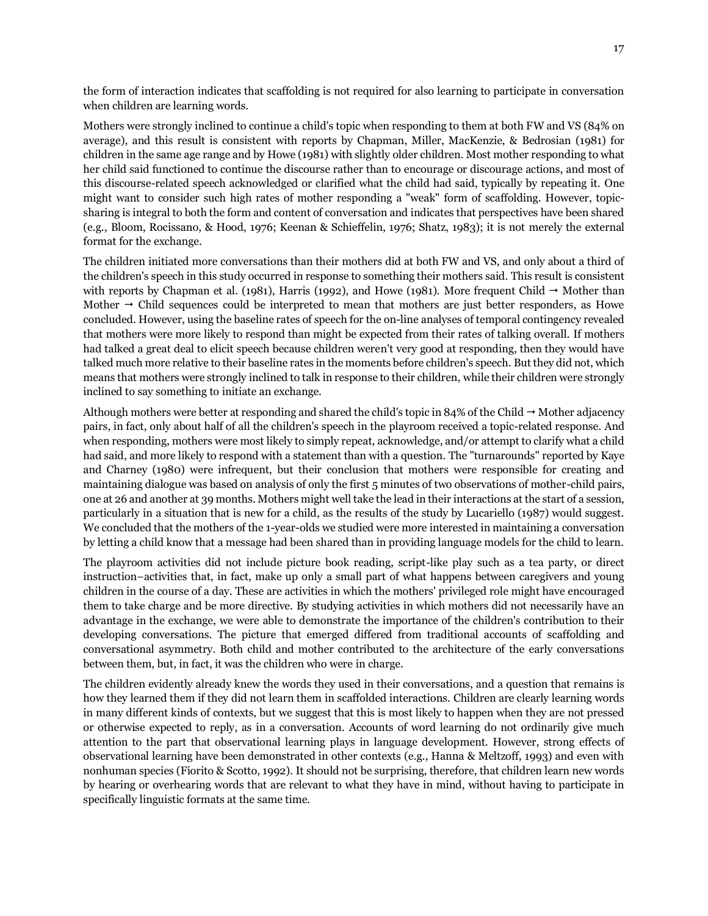the form of interaction indicates that scaffolding is not required for also learning to participate in conversation when children are learning words.

Mothers were strongly inclined to continue a child's topic when responding to them at both FW and VS (84% on average), and this result is consistent with reports by Chapman, Miller, MacKenzie, & Bedrosian (1981) for children in the same age range and by Howe (1981) with slightly older children. Most mother responding to what her child said functioned to continue the discourse rather than to encourage or discourage actions, and most of this discourse-related speech acknowledged or clarified what the child had said, typically by repeating it. One might want to consider such high rates of mother responding a "weak" form of scaffolding. However, topicsharing is integral to both the form and content of conversation and indicates that perspectives have been shared (e.g., Bloom, Rocissano, & Hood, 1976; Keenan & Schieffelin, 1976; Shatz, 1983); it is not merely the external format for the exchange.

The children initiated more conversations than their mothers did at both FW and VS, and only about a third of the children's speech in this study occurred in response to something their mothers said. This result is consistent with reports by Chapman et al. (1981), Harris (1992), and Howe (1981). More frequent Child  $\rightarrow$  Mother than Mother  $\rightarrow$  Child sequences could be interpreted to mean that mothers are just better responders, as Howe concluded. However, using the baseline rates of speech for the on-line analyses of temporal contingency revealed that mothers were more likely to respond than might be expected from their rates of talking overall. If mothers had talked a great deal to elicit speech because children weren't very good at responding, then they would have talked much more relative to their baseline rates in the moments before children's speech. But they did not, which means that mothers were strongly inclined to talk in response to their children, while their children were strongly inclined to say something to initiate an exchange.

Although mothers were better at responding and shared the child's topic in 84% of the Child  $\rightarrow$  Mother adjacency pairs, in fact, only about half of all the children's speech in the playroom received a topic-related response. And when responding, mothers were most likely to simply repeat, acknowledge, and/or attempt to clarify what a child had said, and more likely to respond with a statement than with a question. The "turnarounds" reported by Kaye and Charney (1980) were infrequent, but their conclusion that mothers were responsible for creating and maintaining dialogue was based on analysis of only the first 5 minutes of two observations of mother-child pairs, one at 26 and another at 39 months. Mothers might well take the lead in their interactions at the start of a session, particularly in a situation that is new for a child, as the results of the study by Lucariello (1987) would suggest. We concluded that the mothers of the 1-year-olds we studied were more interested in maintaining a conversation by letting a child know that a message had been shared than in providing language models for the child to learn.

The playroom activities did not include picture book reading, script-like play such as a tea party, or direct instruction−activities that, in fact, make up only a small part of what happens between caregivers and young children in the course of a day. These are activities in which the mothers' privileged role might have encouraged them to take charge and be more directive. By studying activities in which mothers did not necessarily have an advantage in the exchange, we were able to demonstrate the importance of the children's contribution to their developing conversations. The picture that emerged differed from traditional accounts of scaffolding and conversational asymmetry. Both child and mother contributed to the architecture of the early conversations between them, but, in fact, it was the children who were in charge.

The children evidently already knew the words they used in their conversations, and a question that remains is how they learned them if they did not learn them in scaffolded interactions. Children are clearly learning words in many different kinds of contexts, but we suggest that this is most likely to happen when they are not pressed or otherwise expected to reply, as in a conversation. Accounts of word learning do not ordinarily give much attention to the part that observational learning plays in language development. However, strong effects of observational learning have been demonstrated in other contexts (e.g., Hanna & Meltzoff, 1993) and even with nonhuman species (Fiorito & Scotto, 1992). It should not be surprising, therefore, that children learn new words by hearing or overhearing words that are relevant to what they have in mind, without having to participate in specifically linguistic formats at the same time.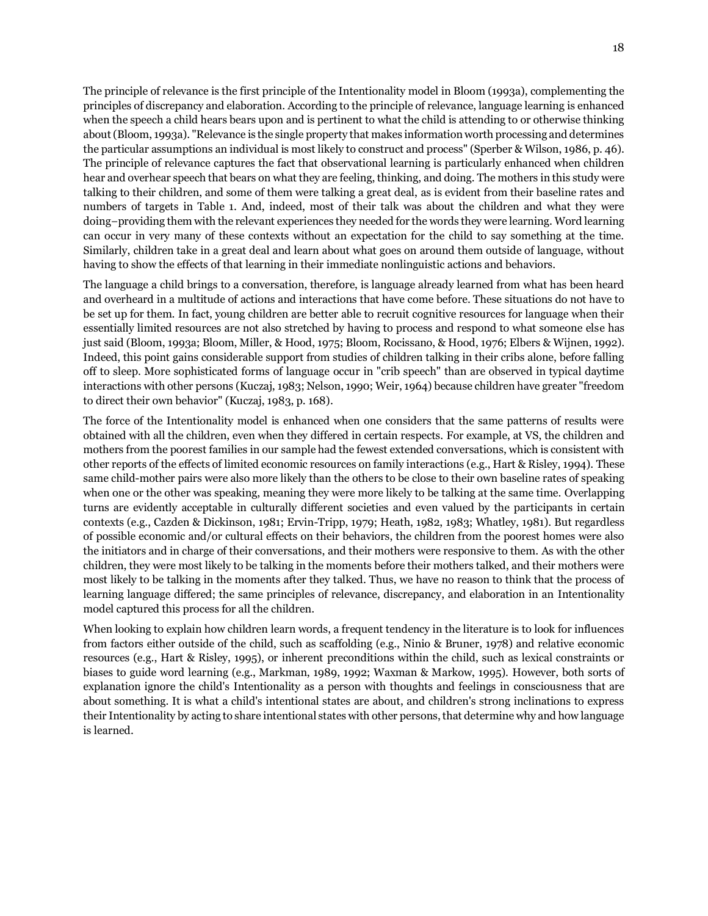The principle of relevance is the first principle of the Intentionality model in Bloom (1993a), complementing the principles of discrepancy and elaboration. According to the principle of relevance, language learning is enhanced when the speech a child hears bears upon and is pertinent to what the child is attending to or otherwise thinking about (Bloom, 1993a). "Relevance is the single property that makes information worth processing and determines the particular assumptions an individual is most likely to construct and process" (Sperber & Wilson, 1986, p. 46). The principle of relevance captures the fact that observational learning is particularly enhanced when children hear and overhear speech that bears on what they are feeling, thinking, and doing. The mothers in this study were talking to their children, and some of them were talking a great deal, as is evident from their baseline rates and numbers of targets in Table 1. And, indeed, most of their talk was about the children and what they were doing−providing them with the relevant experiences they needed for the words they were learning. Word learning can occur in very many of these contexts without an expectation for the child to say something at the time. Similarly, children take in a great deal and learn about what goes on around them outside of language, without having to show the effects of that learning in their immediate nonlinguistic actions and behaviors.

The language a child brings to a conversation, therefore, is language already learned from what has been heard and overheard in a multitude of actions and interactions that have come before. These situations do not have to be set up for them. In fact, young children are better able to recruit cognitive resources for language when their essentially limited resources are not also stretched by having to process and respond to what someone else has just said (Bloom, 1993a; Bloom, Miller, & Hood, 1975; Bloom, Rocissano, & Hood, 1976; Elbers & Wijnen, 1992). Indeed, this point gains considerable support from studies of children talking in their cribs alone, before falling off to sleep. More sophisticated forms of language occur in "crib speech" than are observed in typical daytime interactions with other persons (Kuczaj, 1983; Nelson, 1990; Weir, 1964) because children have greater "freedom to direct their own behavior" (Kuczaj, 1983, p. 168).

The force of the Intentionality model is enhanced when one considers that the same patterns of results were obtained with all the children, even when they differed in certain respects. For example, at VS, the children and mothers from the poorest families in our sample had the fewest extended conversations, which is consistent with other reports of the effects of limited economic resources on family interactions (e.g., Hart & Risley, 1994). These same child-mother pairs were also more likely than the others to be close to their own baseline rates of speaking when one or the other was speaking, meaning they were more likely to be talking at the same time. Overlapping turns are evidently acceptable in culturally different societies and even valued by the participants in certain contexts (e.g., Cazden & Dickinson, 1981; Ervin-Tripp, 1979; Heath, 1982, 1983; Whatley, 1981). But regardless of possible economic and/or cultural effects on their behaviors, the children from the poorest homes were also the initiators and in charge of their conversations, and their mothers were responsive to them. As with the other children, they were most likely to be talking in the moments before their mothers talked, and their mothers were most likely to be talking in the moments after they talked. Thus, we have no reason to think that the process of learning language differed; the same principles of relevance, discrepancy, and elaboration in an Intentionality model captured this process for all the children.

When looking to explain how children learn words, a frequent tendency in the literature is to look for influences from factors either outside of the child, such as scaffolding (e.g., Ninio & Bruner, 1978) and relative economic resources (e.g., Hart & Risley, 1995), or inherent preconditions within the child, such as lexical constraints or biases to guide word learning (e.g., Markman, 1989, 1992; Waxman & Markow, 1995). However, both sorts of explanation ignore the child's Intentionality as a person with thoughts and feelings in consciousness that are about something. It is what a child's intentional states are about, and children's strong inclinations to express their Intentionality by acting to share intentional states with other persons, that determine why and how language is learned.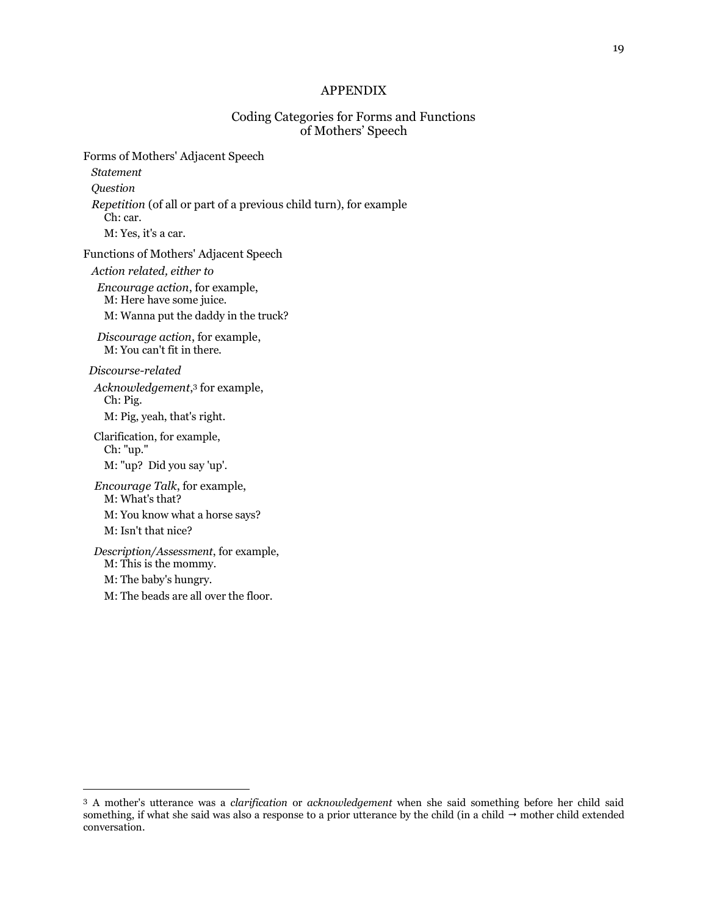# APPENDIX

# Coding Categories for Forms and Functions of Mothers' Speech

Forms of Mothers' Adjacent Speech *Statement Question Repetition* (of all or part of a previous child turn), for example Ch: car. M: Yes, it's a car. Functions of Mothers' Adjacent Speech  *Action related, either to Encourage action*, for example, M: Here have some juice. M: Wanna put the daddy in the truck?  *Discourage action*, for example, M: You can't fit in there.  *Discourse-related Acknowledgement*, <sup>3</sup> for example, Ch: Pig. M: Pig, yeah, that's right. Clarification, for example, Ch: "up." M: "up? Did you say 'up'. *Encourage Talk*, for example, M: What's that? M: You know what a horse says? M: Isn't that nice? *Description/Assessment*, for example,

M: This is the mommy. M: The baby's hungry.

M: The beads are all over the floor.

 $\overline{a}$ 

<sup>3</sup> A mother's utterance was a *clarification* or *acknowledgement* when she said something before her child said something, if what she said was also a response to a prior utterance by the child (in a child  $\rightarrow$  mother child extended conversation.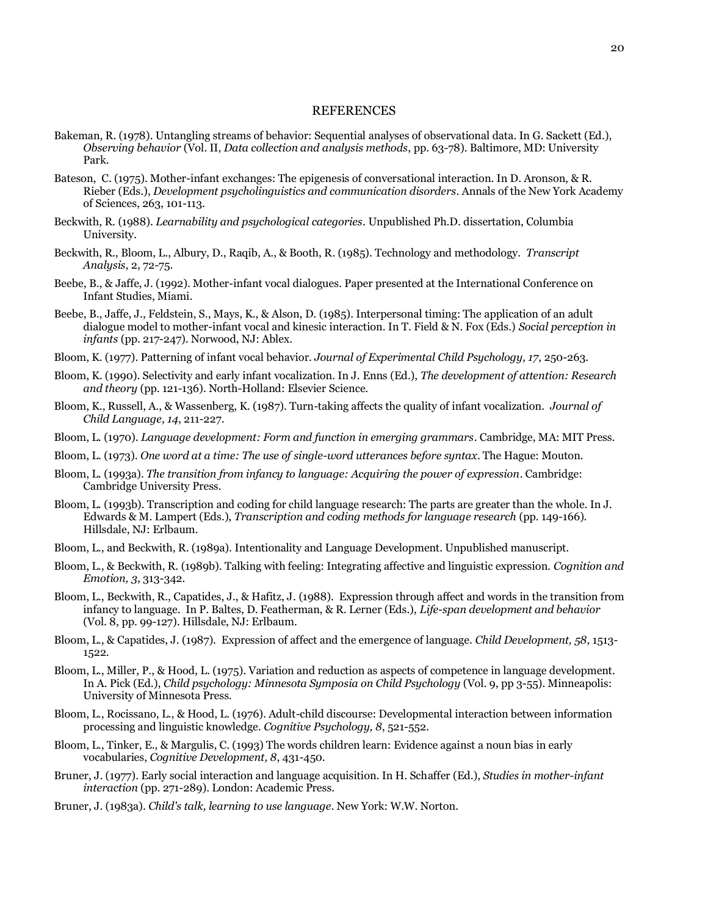## **REFERENCES**

- Bakeman, R. (1978). Untangling streams of behavior: Sequential analyses of observational data. In G. Sackett (Ed.), *Observing behavior* (Vol. II, *Data collection and analysis methods*, pp. 63-78). Baltimore, MD: University Park.
- Bateson, C. (1975). Mother-infant exchanges: The epigenesis of conversational interaction. In D. Aronson, & R. Rieber (Eds.), *Development psycholinguistics and communication disorders*. Annals of the New York Academy of Sciences, 263, 101-113.
- Beckwith, R. (1988). *Learnability and psychological categories*. Unpublished Ph.D. dissertation, Columbia University.
- Beckwith, R., Bloom, L., Albury, D., Raqib, A., & Booth, R. (1985). Technology and methodology. *Transcript Analysis*, 2, 72-75.
- Beebe, B., & Jaffe, J. (1992). Mother-infant vocal dialogues. Paper presented at the International Conference on Infant Studies, Miami.
- Beebe, B., Jaffe, J., Feldstein, S., Mays, K., & Alson, D. (1985). Interpersonal timing: The application of an adult dialogue model to mother-infant vocal and kinesic interaction. In T. Field & N. Fox (Eds.) *Social perception in infants* (pp. 217-247). Norwood, NJ: Ablex.
- Bloom, K. (1977). Patterning of infant vocal behavior. *Journal of Experimental Child Psychology, 17*, 250-263.
- Bloom, K. (1990). Selectivity and early infant vocalization. In J. Enns (Ed.), *The development of attention: Research and theory* (pp. 121-136). North-Holland: Elsevier Science.
- Bloom, K., Russell, A., & Wassenberg, K. (1987). Turn-taking affects the quality of infant vocalization. *Journal of Child Language, 14*, 211-227.
- Bloom, L. (1970). *Language development: Form and function in emerging grammars*. Cambridge, MA: MIT Press.
- Bloom, L. (1973). *One word at a time: The use of single-word utterances before syntax*. The Hague: Mouton.
- Bloom, L. (1993a). *The transition from infancy to language: Acquiring the power of expression*. Cambridge: Cambridge University Press.
- Bloom, L. (1993b). Transcription and coding for child language research: The parts are greater than the whole. In J. Edwards & M. Lampert (Eds.), *Transcription and coding methods for language research* (pp. 149-166). Hillsdale, NJ: Erlbaum.
- Bloom, L., and Beckwith, R. (1989a). Intentionality and Language Development. Unpublished manuscript.
- Bloom, L., & Beckwith, R. (1989b). Talking with feeling: Integrating affective and linguistic expression. *Cognition and Emotion, 3*, 313-342.
- Bloom, L., Beckwith, R., Capatides, J., & Hafitz, J. (1988). Expression through affect and words in the transition from infancy to language. In P. Baltes, D. Featherman, & R. Lerner (Eds.), *Life-span development and behavior* (Vol. 8, pp. 99-127). Hillsdale, NJ: Erlbaum.
- Bloom, L., & Capatides, J. (1987). Expression of affect and the emergence of language. *Child Development, 58*, 1513- 1522.
- Bloom, L., Miller, P., & Hood, L. (1975). Variation and reduction as aspects of competence in language development. In A. Pick (Ed.), *Child psychology: Minnesota Symposia on Child Psychology* (Vol. 9, pp 3-55). Minneapolis: University of Minnesota Press.
- Bloom, L., Rocissano, L., & Hood, L. (1976). Adult-child discourse: Developmental interaction between information processing and linguistic knowledge. *Cognitive Psychology, 8*, 521-552.
- Bloom, L., Tinker, E., & Margulis, C. (1993) The words children learn: Evidence against a noun bias in early vocabularies, *Cognitive Development, 8*, 431-450.
- Bruner, J. (1977). Early social interaction and language acquisition. In H. Schaffer (Ed.), *Studies in mother-infant interaction* (pp. 271-289). London: Academic Press.
- Bruner, J. (1983a). *Child's talk, learning to use language*. New York: W.W. Norton.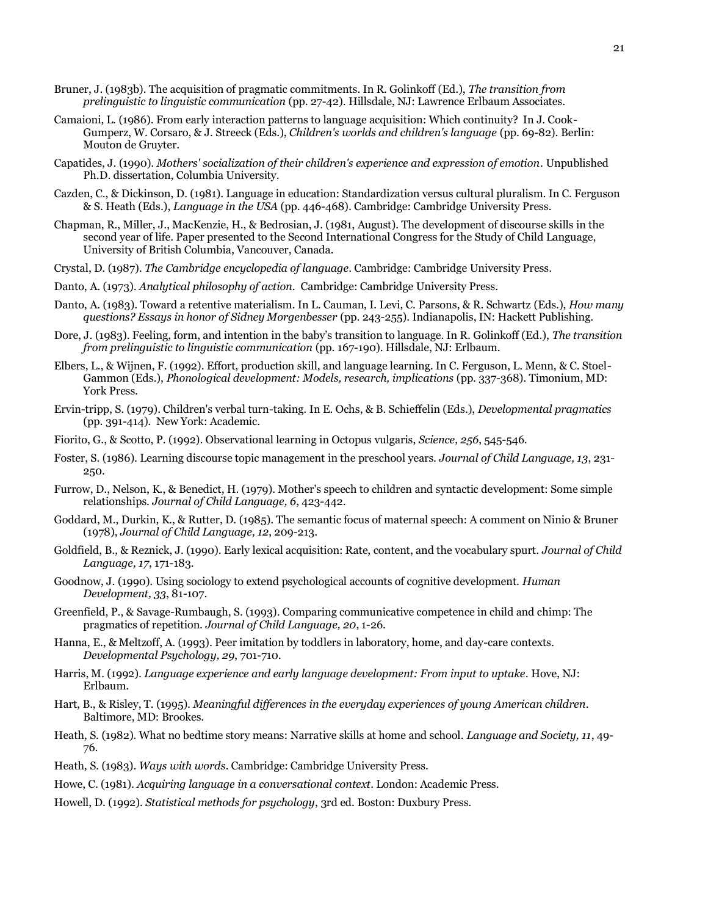- Bruner, J. (1983b). The acquisition of pragmatic commitments. In R. Golinkoff (Ed.), *The transition from prelinguistic to linguistic communication* (pp. 27-42). Hillsdale, NJ: Lawrence Erlbaum Associates.
- Camaioni, L. (1986). From early interaction patterns to language acquisition: Which continuity? In J. Cook-Gumperz, W. Corsaro, & J. Streeck (Eds.), *Children's worlds and children's language* (pp. 69-82). Berlin: Mouton de Gruyter.
- Capatides, J. (1990). *Mothers' socialization of their children's experience and expression of emotion*. Unpublished Ph.D. dissertation, Columbia University.
- Cazden, C., & Dickinson, D. (1981). Language in education: Standardization versus cultural pluralism. In C. Ferguson & S. Heath (Eds.), *Language in the USA* (pp. 446-468). Cambridge: Cambridge University Press.
- Chapman, R., Miller, J., MacKenzie, H., & Bedrosian, J. (1981, August). The development of discourse skills in the second year of life. Paper presented to the Second International Congress for the Study of Child Language, University of British Columbia, Vancouver, Canada.
- Crystal, D. (1987). *The Cambridge encyclopedia of language*. Cambridge: Cambridge University Press.
- Danto, A. (1973). *Analytical philosophy of action*. Cambridge: Cambridge University Press.
- Danto, A. (1983). Toward a retentive materialism. In L. Cauman, I. Levi, C. Parsons, & R. Schwartz (Eds.), *How many questions? Essays in honor of Sidney Morgenbesser* (pp. 243-255). Indianapolis, IN: Hackett Publishing.
- Dore, J. (1983). Feeling, form, and intention in the baby's transition to language. In R. Golinkoff (Ed.), *The transition from prelinguistic to linguistic communication* (pp. 167-190). Hillsdale, NJ: Erlbaum.
- Elbers, L., & Wijnen, F. (1992). Effort, production skill, and language learning. In C. Ferguson, L. Menn, & C. Stoel-Gammon (Eds.), *Phonological development: Models, research, implications* (pp. 337-368). Timonium, MD: York Press.
- Ervin-tripp, S. (1979). Children's verbal turn-taking. In E. Ochs, & B. Schieffelin (Eds.), *Developmental pragmatics* (pp. 391-414). New York: Academic.
- Fiorito, G., & Scotto, P. (1992). Observational learning in Octopus vulgaris, *Science, 256*, 545-546.
- Foster, S. (1986). Learning discourse topic management in the preschool years. *Journal of Child Language, 13*, 231- 250.
- Furrow, D., Nelson, K., & Benedict, H. (1979). Mother's speech to children and syntactic development: Some simple relationships. *Journal of Child Language, 6*, 423-442.
- Goddard, M., Durkin, K., & Rutter, D. (1985). The semantic focus of maternal speech: A comment on Ninio & Bruner (1978), *Journal of Child Language, 12*, 209-213.
- Goldfield, B., & Reznick, J. (1990). Early lexical acquisition: Rate, content, and the vocabulary spurt. *Journal of Child Language, 17*, 171-183.
- Goodnow, J. (1990). Using sociology to extend psychological accounts of cognitive development. *Human Development, 33*, 81-107.
- Greenfield, P., & Savage-Rumbaugh, S. (1993). Comparing communicative competence in child and chimp: The pragmatics of repetition. *Journal of Child Language, 20*, 1-26.
- Hanna, E., & Meltzoff, A. (1993). Peer imitation by toddlers in laboratory, home, and day-care contexts. *Developmental Psychology, 29*, 701-710.
- Harris, M. (1992). *Language experience and early language development: From input to uptake*. Hove, NJ: Erlbaum.
- Hart, B., & Risley, T. (1995). *Meaningful differences in the everyday experiences of young American children*. Baltimore, MD: Brookes.
- Heath, S. (1982). What no bedtime story means: Narrative skills at home and school. *Language and Society, 11*, 49- 76.
- Heath, S. (1983). *Ways with words*. Cambridge: Cambridge University Press.
- Howe, C. (1981). *Acquiring language in a conversational context*. London: Academic Press.
- Howell, D. (1992). *Statistical methods for psychology*, 3rd ed. Boston: Duxbury Press.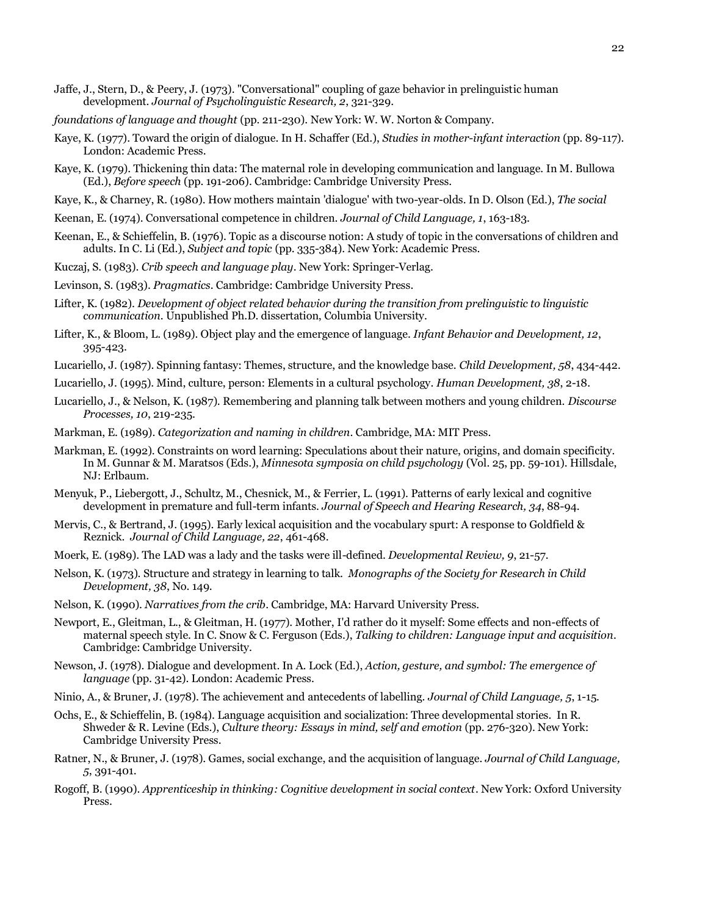- Jaffe, J., Stern, D., & Peery, J. (1973). "Conversational" coupling of gaze behavior in prelinguistic human development. *Journal of Psycholinguistic Research, 2*, 321-329.
- *foundations of language and thought* (pp. 211-230). New York: W. W. Norton & Company.
- Kaye, K. (1977). Toward the origin of dialogue. In H. Schaffer (Ed.), *Studies in mother-infant interaction* (pp. 89-117). London: Academic Press.
- Kaye, K. (1979). Thickening thin data: The maternal role in developing communication and language. In M. Bullowa (Ed.), *Before speech* (pp. 191-206). Cambridge: Cambridge University Press.
- Kaye, K., & Charney, R. (1980). How mothers maintain 'dialogue' with two-year-olds. In D. Olson (Ed.), *The social*
- Keenan, E. (1974). Conversational competence in children. *Journal of Child Language, 1*, 163-183.
- Keenan, E., & Schieffelin, B. (1976). Topic as a discourse notion: A study of topic in the conversations of children and adults. In C. Li (Ed.), *Subject and topic* (pp. 335-384). New York: Academic Press.
- Kuczaj, S. (1983). *Crib speech and language play*. New York: Springer-Verlag.
- Levinson, S. (1983). *Pragmatics*. Cambridge: Cambridge University Press.
- Lifter, K. (1982). *Development of object related behavior during the transition from prelinguistic to linguistic communication*. Unpublished Ph.D. dissertation, Columbia University.
- Lifter, K., & Bloom, L. (1989). Object play and the emergence of language. *Infant Behavior and Development, 12*, 395-423.
- Lucariello, J. (1987). Spinning fantasy: Themes, structure, and the knowledge base. *Child Development, 58*, 434-442.
- Lucariello, J. (1995). Mind, culture, person: Elements in a cultural psychology. *Human Development, 38*, 2-18.
- Lucariello, J., & Nelson, K. (1987). Remembering and planning talk between mothers and young children. *Discourse Processes, 10*, 219-235.
- Markman, E. (1989). *Categorization and naming in children*. Cambridge, MA: MIT Press.
- Markman, E. (1992). Constraints on word learning: Speculations about their nature, origins, and domain specificity. In M. Gunnar & M. Maratsos (Eds.), *Minnesota symposia on child psychology* (Vol. 25, pp. 59-101). Hillsdale, NJ: Erlbaum.
- Menyuk, P., Liebergott, J., Schultz, M., Chesnick, M., & Ferrier, L. (1991). Patterns of early lexical and cognitive development in premature and full-term infants. *Journal of Speech and Hearing Research, 34*, 88-94.
- Mervis, C., & Bertrand, J. (1995). Early lexical acquisition and the vocabulary spurt: A response to Goldfield & Reznick. *Journal of Child Language, 22*, 461-468.
- Moerk, E. (1989). The LAD was a lady and the tasks were ill-defined. *Developmental Review, 9*, 21-57.
- Nelson, K. (1973). Structure and strategy in learning to talk. *Monographs of the Society for Research in Child Development, 38*, No. 149.
- Nelson, K. (1990). *Narratives from the crib*. Cambridge, MA: Harvard University Press.
- Newport, E., Gleitman, L., & Gleitman, H. (1977). Mother, I'd rather do it myself: Some effects and non-effects of maternal speech style. In C. Snow & C. Ferguson (Eds.), *Talking to children: Language input and acquisition*. Cambridge: Cambridge University.
- Newson, J. (1978). Dialogue and development. In A. Lock (Ed.), *Action, gesture, and symbol: The emergence of language* (pp. 31-42). London: Academic Press.
- Ninio, A., & Bruner, J. (1978). The achievement and antecedents of labelling. *Journal of Child Language, 5*, 1-15.
- Ochs, E., & Schieffelin, B. (1984). Language acquisition and socialization: Three developmental stories. In R. Shweder & R. Levine (Eds.), *Culture theory: Essays in mind, self and emotion* (pp. 276-320). New York: Cambridge University Press.
- Ratner, N., & Bruner, J. (1978). Games, social exchange, and the acquisition of language. *Journal of Child Language, 5*, 391-401.
- Rogoff, B. (1990). *Apprenticeship in thinking: Cognitive development in social context*. New York: Oxford University Press.